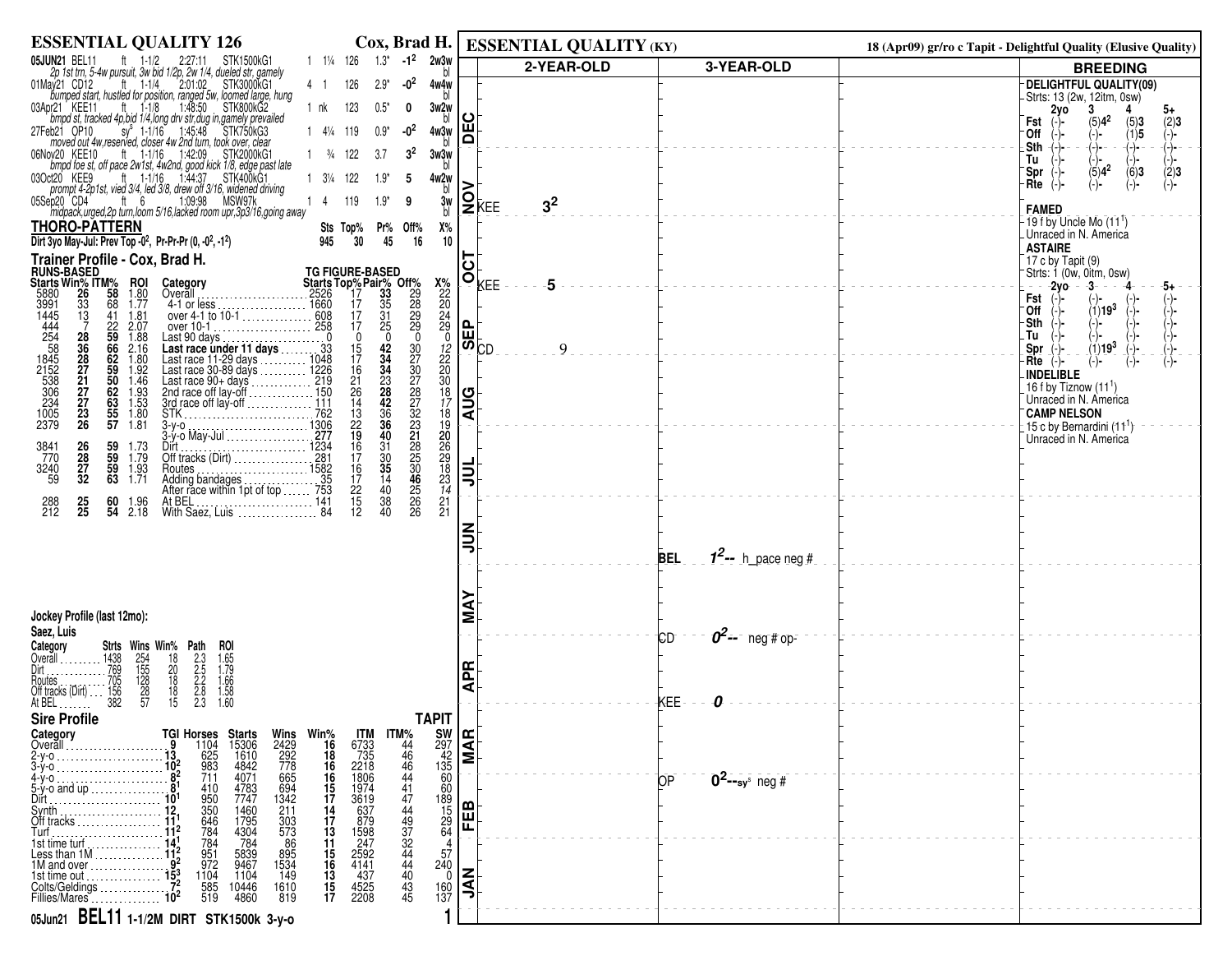| <b>ESSENTIAL QUALITY 126</b>                                                                                                                                                                                                                                                                                            |                                           | Cox, Brad H.   ESSENTIAL QUALITY (KY)                           |                                     | 18 (Apr09) gr/ro c Tapit - Delightful Quality (Elusive Quality)   |
|-------------------------------------------------------------------------------------------------------------------------------------------------------------------------------------------------------------------------------------------------------------------------------------------------------------------------|-------------------------------------------|-----------------------------------------------------------------|-------------------------------------|-------------------------------------------------------------------|
| $-1^2$ 2w3w<br>$1 \t1\frac{1}{4} \t126 \t1.3^*$<br>05JUN21 BEL11<br><b>JN21</b> BEL11 ft 1-1/2 2:27:11 STK1500kG1<br>2p 1st trn, 5-4w pursuit, 3w bid 1/2p, 2w 1/4, dueled str, gamely                                                                                                                                  |                                           | 2-YEAR-OLD                                                      | 3-YEAR-OLD                          | <b>BREEDING</b>                                                   |
| $-02$<br>01May 21 CD12 ft 1-1/4<br>2:01:02 STK3000KG1<br>4 1<br>126<br>$2.9*$<br>bumped start, hustled for position, ranged 5w, loomed large, hung                                                                                                                                                                      | 4w4w                                      |                                                                 |                                     | <b>DELIGHTFUL QUALITY(09)</b><br>Strts: 13 (2w, 12itm, 0sw)       |
| brazy KEE11 ft 1-1/8 1:48:50 STK800kG2<br>brind st, tracked 4p,bid 1/4,long drv str,dug in,gamely prevailed<br>03Apr21 KEE11<br>$0.5*$<br>1 nk<br>123<br>0                                                                                                                                                              | 3w2w                                      | ပ                                                               |                                     | 2y0<br>3<br>4<br>5+                                               |
| sy <sup>s</sup> 1-1/16 1:45:48 STK750kG3<br>27Feb21 OP10<br>-0 <sup>2</sup><br>1 41/4 119<br>$0.9*$                                                                                                                                                                                                                     | 4w3w                                      | Ŵ<br>۵                                                          |                                     | $(5)4^2$<br>Fst<br>(5)3<br>$\binom{2}{1}$<br>(1)5<br>°Off<br>(-)- |
| moved out 4w, reserved, closer 4w 2nd turn, took over, clear<br>06Nov20 KEE10 ft 1-1/16 1:42:09 STK2000KG1<br>bmpd foe st, off pace 2w1st, 4w2nd, good kick 1/8, edge past late<br>$1 \frac{3}{4}$ 122<br>3 <sup>2</sup><br>3.7                                                                                         | 3w3w                                      |                                                                 |                                     | Sth<br>(-)-<br>(-)−<br>(-)-<br>Tu                                 |
| ft 1-1/16 1:44:37 STK400kG1<br>03Oct20 KEE9<br>1 31/4 122<br>$1.9*$<br>5                                                                                                                                                                                                                                                | 4w2w                                      |                                                                 |                                     | $\binom{1}{5}$ -<br>(5)4 <sup>2</sup><br>(6)3<br>(2)3<br>Spr      |
| prompt 4-2p1st, vied 3/4, led 3/8, drew off 3/16, widened driving<br>ft $6$<br>1:09:98<br>MSW97k<br>05Sep20 CD4<br>119<br>$1.9*$<br>14<br>9                                                                                                                                                                             | bl                                        | >                                                               |                                     | Rte<br>(−)−                                                       |
| midpack, urged, 2p turn, loom 5/16, lacked room upr, 3p3/16, going away                                                                                                                                                                                                                                                 | 3w<br>bl                                  | $\mathsf{Q}_{\mathsf{K}\mathsf{E}\mathsf{E}}$<br>3 <sup>2</sup> |                                     | <b>FAMED</b>                                                      |
| <b>THORO-PATTERN</b><br>Sts Top%<br>Pr% Off%<br>Dirt 3yo May-Jul: Prev Top -0 <sup>2</sup> , Pr-Pr-Pr (0, -0 <sup>2</sup> , -1 <sup>2</sup> )<br>30<br>945<br>45<br>16                                                                                                                                                  | Х%<br>10                                  |                                                                 |                                     | $-19$ f by Uncle Mo $(11^1)$<br>Unraced in N. America             |
| Trainer Profile - Cox, Brad H.                                                                                                                                                                                                                                                                                          |                                           | 5                                                               |                                     | <b>ASTAIRE</b><br>17 c by Tapit (9)                               |
| <b>FIGURE 100 STATES</b><br><b>STATES WINNER STATES</b><br>5880 26 58 1.80<br>3991 33 68 1.77<br>1445 13 68 1.78<br>1444 7 22 2.07<br><b>TG FIGURE-BASED</b>                                                                                                                                                            |                                           | ıŎ <sub>kee</sub><br>5                                          |                                     | Strts: 1 (0w, 0itm, 0sw)                                          |
| Category<br>Overall<br>4-1 or less                                                                                                                                                                                                                                                                                      | $x_{22}^8$<br>$20$<br>$24$<br>$29$<br>$0$ |                                                                 |                                     | $-2y$ o<br>- -3-<br>-5+<br>Fst                                    |
| 3991<br>1445<br>444<br>2545<br>5845<br>2152<br>5386<br>234<br>1005<br>2379<br>. 1660                                                                                                                                                                                                                                    |                                           |                                                                 |                                     | (1)19 <sup>3</sup><br>Θff<br>Sth                                  |
| 1.88<br>Last 90 days $\ldots \ldots \ldots \ldots \ldots 0$                                                                                                                                                                                                                                                             |                                           | $\mathbf{f}_{\mathbf{m}}$                                       |                                     | Tu                                                                |
| Last voltage<br>Last race under 11 days<br>Last race 11-29 days<br>Last race 11-29 days<br>Last race 90+ days<br>Last race 90+ days<br>Last race of lay-off<br>210<br>2nd race off lay-off<br>3rd race off lay-off<br>3rd race off lay-off<br>3rd ra<br>$\frac{42}{34}$<br>2.16<br>$\frac{15}{17}$<br>$\overline{1.80}$ |                                           | $\overline{\mathbf{w}}_{\mathsf{CD}}$<br>9                      |                                     | $(1)19^{3}$<br>Spr<br>$Rte$ $(-)$                                 |
| 34<br>1.92<br>16<br>1.46                                                                                                                                                                                                                                                                                                |                                           |                                                                 |                                     | <b>INDELIBLE</b>                                                  |
| $^{21}_{26}$<br>$^{23}_{28}$<br>1.93<br>1.53<br>14<br>42                                                                                                                                                                                                                                                                |                                           | $\frac{1}{2}$                                                   |                                     | 16 f by Tiznow $(111)$<br>Unraced in N. America                   |
| 25966250625557<br>28<br>36<br>28<br>27<br>27<br>27<br>27<br>28<br>$\frac{1.80}{1.81}$<br>$\frac{36}{36}$                                                                                                                                                                                                                |                                           |                                                                 |                                     | <b>CAMP NELSON</b><br>15 c by Bernardini (11 <sup>1</sup> )       |
| 32322232222506<br>13<br>22<br>19<br>16<br>16<br>40                                                                                                                                                                                                                                                                      | 1220087890834122                          |                                                                 |                                     | Unraced in N. America                                             |
| 26<br>28<br>27<br>32<br>59<br>59<br>$\frac{31}{30}$<br>3841<br>770<br>1.73<br>1.79                                                                                                                                                                                                                                      |                                           |                                                                 |                                     |                                                                   |
| 59<br>63<br>$\frac{16}{17}$<br>$\frac{35}{14}$<br>3240<br>59<br>1.93<br>1.71                                                                                                                                                                                                                                            |                                           | ゠゠                                                              |                                     |                                                                   |
| and the transfer of the transfer of the transfer of the transfer of the Addington Case of the Addington Case of the Number of the With Saes, the With Saes, Luis (1997)<br>$\frac{22}{15}$<br>12<br>40<br>38 <sup>2</sup><br>1.96<br>2.18<br>288<br>212<br>$\frac{25}{25}$<br>60<br>54                                  |                                           |                                                                 |                                     |                                                                   |
| 40<br>26                                                                                                                                                                                                                                                                                                                |                                           |                                                                 |                                     |                                                                   |
|                                                                                                                                                                                                                                                                                                                         |                                           | $\tilde{=}$                                                     |                                     |                                                                   |
|                                                                                                                                                                                                                                                                                                                         |                                           |                                                                 | $1^2$ -- h_pace neg #<br><b>BEL</b> |                                                                   |
|                                                                                                                                                                                                                                                                                                                         |                                           |                                                                 |                                     |                                                                   |
|                                                                                                                                                                                                                                                                                                                         |                                           | ⋚                                                               |                                     |                                                                   |
| Jockey Profile (last 12mo):<br>Saez, Luis                                                                                                                                                                                                                                                                               |                                           |                                                                 |                                     |                                                                   |
| Category<br>Strts Wins Win% Path                                                                                                                                                                                                                                                                                        |                                           |                                                                 | $0^2$ -- neg#op-<br>СD              |                                                                   |
| Overall $\ldots$<br>Dirt                                                                                                                                                                                                                                                                                                |                                           |                                                                 |                                     |                                                                   |
| ROI<br>1.65<br>1.79<br>1.66<br>1.58<br>1.60<br>1438<br>1438<br>769<br>705<br>156<br>156<br>382<br>$\frac{254}{155}$<br>128<br>28<br>57<br>2:3<br>2:5<br>2:8<br>2:3<br>2:3<br>$\frac{18}{20}$<br>$\frac{18}{18}$<br>$\frac{18}{15}$<br>Routes<br>Off tracks (Dirt)                                                       |                                           | <b>APR</b>                                                      |                                     |                                                                   |
| At BEL                                                                                                                                                                                                                                                                                                                  |                                           |                                                                 | KEE-                                |                                                                   |
| <b>Sire Profile</b><br><b>TAPIT</b><br>Category                                                                                                                                                                                                                                                                         |                                           |                                                                 |                                     |                                                                   |
| <b>Starts</b><br>15306<br>1610<br>4842<br>%Win<br>16<br>Overall                                                                                                                                                                                                                                                         | $\frac{297}{135}$ <b>RE</b>               |                                                                 |                                     |                                                                   |
| TGI Horses<br>9 1104<br>13 625<br>10 <sup>2</sup> 983<br>82 711<br>$\begin{array}{r} 1 \text{TM}\% \\ 44 \\ 46 \\ 46 \\ 46 \\ 44 \end{array}$<br>$\frac{18}{16}$<br>$2-y-0$<br>$3-y-0$<br>16                                                                                                                            | $\frac{297}{135}$<br>$\frac{42}{60}$      |                                                                 |                                     |                                                                   |
| Wins<br>2429<br>292<br>778<br>665<br>694<br>1342<br>1343<br>ITM<br>6733<br>735<br>2218<br>2818<br>1806<br>1974<br>3619<br>4071<br>4-у-о<br>4783<br>7747<br>41<br>5-y-o and up<br>410<br>$\begin{array}{c} 15 \\ 17 \end{array}$<br>$Dir1$ .                                                                             | 60                                        |                                                                 | $0^2$ --sy <sup>s</sup> neg #<br>ЮP |                                                                   |
| 14<br>Synth<br>Off tracks<br>211                                                                                                                                                                                                                                                                                        | $\frac{189}{15}$<br>$\frac{29}{64}$       | <b>FEB</b>                                                      |                                     |                                                                   |
| 1460<br>1795<br>4304<br>303<br>573<br>86<br>$\frac{17}{13}$<br>Turf                                                                                                                                                                                                                                                     |                                           |                                                                 |                                     |                                                                   |
| 950<br>350<br>646<br>784<br>784<br>951<br>972<br>637<br>879<br>1598<br>247<br>2592<br>4437<br>4525<br>2208<br>784<br>11<br>1st time turf<br>5839<br>9467<br>895<br>1534<br>$\frac{15}{16}$<br>Less than $1M$                                                                                                            | 4<br>57                                   |                                                                 |                                     |                                                                   |
| 1M and over<br>1104<br>13<br>1104<br>149<br>1st time out                                                                                                                                                                                                                                                                | $\frac{240}{0}$                           |                                                                 |                                     |                                                                   |
| Colts/Geldings<br>585<br>519<br>10446<br>4860<br>1610<br>819<br>$\frac{15}{17}$<br>Fillies/Mares                                                                                                                                                                                                                        | 160<br>137                                | <b>NAL</b>                                                      |                                     |                                                                   |
| 05Jun21 BEL11 1-1/2M DIRT STK1500k 3-y-0                                                                                                                                                                                                                                                                                |                                           |                                                                 |                                     |                                                                   |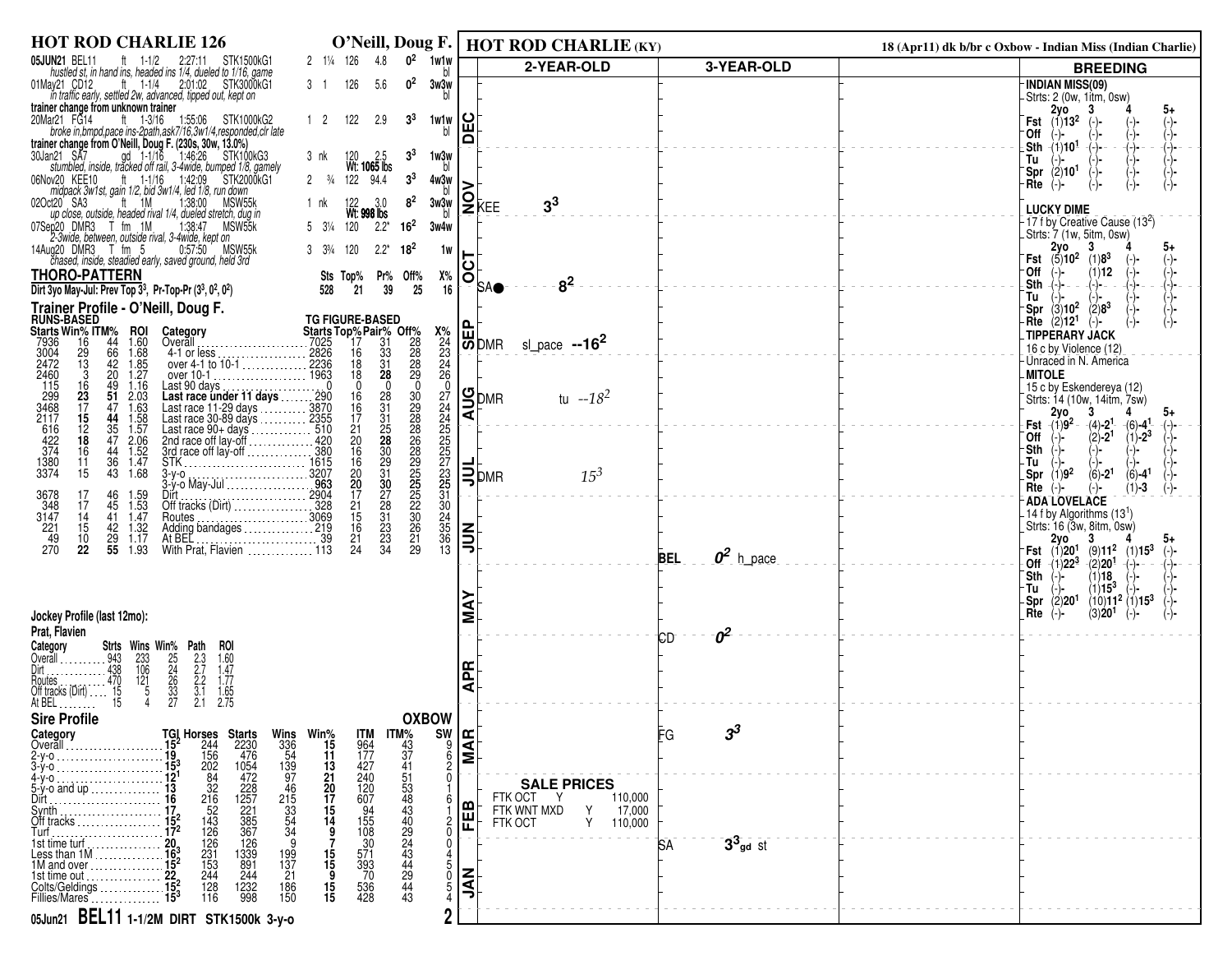| <b>HOT ROD CHARLIE 126</b>                                                                                                                                                                                               |                                                                                                                                                                                                                            |                           | O'Neill, Doug F.   HOT ROD CHARLIE (KY)          |                           | 18 (Apr11) dk b/br c Oxbow - Indian Miss (Indian Charlie)                                                      |
|--------------------------------------------------------------------------------------------------------------------------------------------------------------------------------------------------------------------------|----------------------------------------------------------------------------------------------------------------------------------------------------------------------------------------------------------------------------|---------------------------|--------------------------------------------------|---------------------------|----------------------------------------------------------------------------------------------------------------|
| 05JUN21 BEL11<br>ft 1-1/2 2:27:11 STK1500kG1<br>hustled st, in hand ins, headed ins 1/4, dueled to 1/16, game                                                                                                            | $0^2$<br>1w1w<br>2 1/4 126<br>4.8                                                                                                                                                                                          |                           | 2-YEAR-OLD                                       | 3-YEAR-OLD                | <b>BREEDING</b>                                                                                                |
| lay21 CD12 tt 1-1/4 2:01:02 STK3000kG1<br>in traffic early, settled 2w, advanced, tipped out, kept on<br>01May21 CD12                                                                                                    | 0 <sup>2</sup><br>126<br>5.6<br>3 1<br>3w3w                                                                                                                                                                                |                           |                                                  |                           | -INDIAN MISS(09)<br>-Strts: 2 (0w, 1itm, 0sw)                                                                  |
| trainer change from unknown trainer<br>20Mar21 FG14<br>lar21 FG14 ft 1-3/16 1:55:06 STK1000kG2<br>broke in,bmpd,pace ins-2path,ask7/16,3w1/4,responded,clr late                                                          | 122<br>3 <sup>3</sup><br>$1\quad2$<br>2.9<br>1w1w                                                                                                                                                                          | Ŵ                         |                                                  |                           | $-$ Fst $^{2}$ yo<br>3<br>(−)−                                                                                 |
| trainer change from O'Neill, Doug F. (230s, 30w, 13.0%)                                                                                                                                                                  |                                                                                                                                                                                                                            | ۵                         |                                                  |                           | ⊺Off<br>$-(1)101$<br>⊥Sth<br>$\rightarrow$<br>(-)−                                                             |
| 30Jan21 SA7<br>an21 SA7 gd 1-1/16 1:46:26 STK100kG3<br>stumbled, inside, tracked off rail, 3-4wide, bumped 1/8, gamely                                                                                                   | 3 <sup>3</sup><br>1w3w<br>bl<br>3 nk<br>120 2.5<br>Wt: <b>1065</b> Ibs                                                                                                                                                     |                           |                                                  |                           | Tu<br>(2)10 <sup>1</sup><br>`Spr                                                                               |
| 06Nov20 KEE10<br>ov20 KEE10 ft 1-1/16 1:42:09 STK200<br>midpack 3w1st, gain 1/2, bid 3w1/4, led 1/8, run down<br>STK2000kG1<br>ft 1M                                                                                     | 3 <sup>3</sup><br>94.4<br>$2 \frac{3}{4}$<br>122<br>4w3w<br>bl                                                                                                                                                             |                           |                                                  |                           | ·Rte<br>$(-)$ -<br>(-)-                                                                                        |
| 020ct20 SA3<br>1:38:00<br>MSW55k<br>up close, outside, headed rival 1/4, dueled stretch, dug in<br>07Sep20 DMR3 T fm 1M<br>MSW55k                                                                                        | 8 <sup>2</sup><br>122 3.0<br>Wt: <b>998</b> lbs<br>3w3w<br>1 nk<br>16 <sup>2</sup><br>5 31/4 120<br>$2.2^*$<br>3w4w                                                                                                        | $2$ <sub>KEE</sub>        | 3 <sup>3</sup>                                   |                           | <b>LUCKY DIME</b><br>-17 f by Creative Cause (13 <sup>2</sup> )                                                |
| 1:38:47<br>2-3wide, between, outside rival, 3-4wide, kept on<br>14Aug20 DMR3 T fm 5<br>0:57:50 MSW55k                                                                                                                    | $3 \frac{3\frac{3}{4}}{4}$<br>120<br>$18^{2}$<br>$2.2*$<br>1w                                                                                                                                                              |                           |                                                  |                           | -Strts: 7 (1w, 5itm, 0sw)<br>2yo<br>3<br>5+                                                                    |
| chased, inside, steadied early, saved ground, held 3rd                                                                                                                                                                   |                                                                                                                                                                                                                            | 5                         |                                                  |                           | <b>Fst</b> $(5)10^2$ $(1)8^3$<br>⊤Off<br>(1)12                                                                 |
| <b>THORO-PATTERN</b><br>Dirt 3yo May-Jul: Prev Top $3^3$ , Pr-Top-Pr $(3^3, 0^2, 0^2)$                                                                                                                                   | Pr%<br>Х%<br>Sts Top%<br>Off%<br>39<br>25<br>528<br>21<br>16                                                                                                                                                               | $\circ$<br>ISAO           | 8 <sup>2</sup>                                   |                           | - Sth<br>(-)-<br>Tu                                                                                            |
| Trainer Profile - O'Neill, Doug F.                                                                                                                                                                                       |                                                                                                                                                                                                                            |                           |                                                  |                           | $(3)10^{2}$<br>$(2)8^3$<br><sup>-</sup> Spr<br>-Rte $(2)121$<br>$(-)$ -                                        |
| <b>RUNS-BASED<br/>Starts Win% ITM%</b><br>ROI<br>Category<br>44<br>1.60<br>7025<br>7936<br>16<br>Overall                                                                                                                 | TG FIGURE-BASED<br>Starts Top% Pair% Off%<br>31<br>17                                                                                                                                                                      | ויים<br> ש∫               | sl_pace $-16^2$                                  |                           | -TIPPERARY JACK                                                                                                |
| 3004<br>2472<br>$^{29}_{13}$<br>66<br>42<br>$1.68$<br>$1.85$<br>4-1 or less<br>over 4-1 to 10-1<br>over 10-1<br>over 10-1<br>1963                                                                                        | $x_2^8$<br>$24$<br>$23$<br>$24$<br>$26$<br>$26$<br>28<br>28<br>29<br>29<br>33<br>31<br>$\frac{16}{18}$                                                                                                                     |                           |                                                  |                           | 16 c by Violence (12)<br>-Unraced in N. America                                                                |
| 20<br>1.27<br>2460<br>3<br>$^{16}_{23}$<br>$^{49}_{51}$<br>$\frac{1.16}{2.03}$                                                                                                                                           | 18<br>28<br>$\mathbf 0$<br>0<br>$\mathbf 0$<br>$1\overline{6}$                                                                                                                                                             |                           | tu $-18^2$                                       |                           | -MITOLE<br>15 c by Eskendereya (12)                                                                            |
| Last 90 days<br><b>Last race under 11 days</b><br>Last race 11-29 days<br>Last race 30-89 days<br>Last race 90+ days<br>Last race 90+ days<br>Last race 90+ days<br>110<br>17<br>47<br>$\frac{1.63}{1.58}$<br>1.58<br>15 | $\frac{28}{31}$<br>16<br>17                                                                                                                                                                                                | <b>SDMR</b><br>⋖          |                                                  |                           | Strts: 14 (10w, 14itm, 7sw)<br>2vo<br>3                                                                        |
| $\frac{44}{35}$<br>47<br>12<br>18                                                                                                                                                                                        | $\frac{31}{25}$<br>21<br>$\overline{2}0$                                                                                                                                                                                   |                           |                                                  |                           | $Fst$ $(1)9^2$<br>$-(4) - 21$<br>$-(6) - 4$<br>$(2) - 2^1$<br>$(1) - 2^3$<br>`0ff                              |
| 115<br>299<br>3468<br>2116<br>22<br>612<br>374<br>3374<br>$\frac{2.06}{1.52}$<br>1.52<br>16<br>$\frac{44}{36}$<br>11                                                                                                     |                                                                                                                                                                                                                            |                           |                                                  |                           | -Sth<br>-Tu                                                                                                    |
| 43<br>1.68<br>15<br>3678<br>46<br>17                                                                                                                                                                                     | 072222255733510456<br>30<br>2020<br>2020<br>205<br>205<br>2020<br>2020<br>2020<br>16<br>16<br>20<br>20<br>17<br>30<br>23<br>30<br>22<br>33<br>23<br>34                                                                     | $\mathbf{B}_{\text{PMR}}$ | $15^3$                                           |                           | $(1)9^2$<br>$(6) - 21$<br>$(6) - 4$ <sup>1</sup><br>_Spr<br>Rte<br>(1)-3<br>(-)-                               |
| 1.59<br>1.53<br>$348$<br>$3147$<br>$221$<br>45<br>17<br>$\ldots$<br>14<br>41<br>Routes.                                                                                                                                  | $\frac{21}{15}$<br>15                                                                                                                                                                                                      |                           |                                                  |                           | - ADA LOVELACE<br>- 14 f by Algorithms $(13^1)$                                                                |
| $1.47$<br>$1.32$<br>15<br>42<br>1.17<br>49<br>$\frac{29}{55}$<br>10                                                                                                                                                      | $^{21}_{24}$<br>$^{21}_{29}$                                                                                                                                                                                               | 릨                         |                                                  |                           | Strts: 16 (3w, 8itm, 0sw)<br>2γο<br>3                                                                          |
| 270<br>22<br>1.93                                                                                                                                                                                                        | 13                                                                                                                                                                                                                         |                           |                                                  | $02$ h_pace<br><b>BEL</b> | $-Fst$ (1)20 <sup>1</sup><br>$(9)11^{2}$ $(1)15^{3}$<br>$(-)$ -<br>Off $(1)22^3$<br>(2)20 <sup>1</sup><br>(-)- |
|                                                                                                                                                                                                                          |                                                                                                                                                                                                                            |                           |                                                  |                           | - Sth<br>(1)18<br>$(1)15^3$<br>-Tu                                                                             |
| Jockey Profile (last 12mo):                                                                                                                                                                                              |                                                                                                                                                                                                                            | Σ                         |                                                  |                           | $(10)11^2$ $(1)15^3$<br>(2)20 <sup>1</sup><br>-Spr<br>$Rte$ $\rightarrow$<br>(3)20 <sup>1</sup>                |
| Prat, Flavien                                                                                                                                                                                                            |                                                                                                                                                                                                                            |                           |                                                  | $\sigma^2$<br>ЮD          |                                                                                                                |
| Strts Wins Win% Path<br>roi<br>Category<br>. 943<br>233<br>106<br>Overall                                                                                                                                                |                                                                                                                                                                                                                            |                           |                                                  |                           |                                                                                                                |
| 25<br>24<br>26<br>33<br>27<br>$2.3$<br>$2.7$<br>$2.2$<br>$3.1$<br>$2.1$<br>$1.60$<br>$1.47$<br>$1.77$<br>$1.65$<br>2.75<br>438<br>$\frac{121}{5}$<br>$\frac{470}{15}$<br>15<br>outes                                     |                                                                                                                                                                                                                            | 뚠<br>⋖                    |                                                  |                           |                                                                                                                |
| Off tracks (Dirt)<br>At BEL                                                                                                                                                                                              |                                                                                                                                                                                                                            |                           |                                                  |                           |                                                                                                                |
| <b>Sire Profile</b><br>Category                                                                                                                                                                                          | <b>OXBOW</b>                                                                                                                                                                                                               |                           |                                                  | ვა<br>FG                  |                                                                                                                |
| Overall.                                                                                                                                                                                                                 | $\begin{array}{r} \n  \text{Win\%} \\ \n  15 \\ \n  11 \\ \n  13 \\ \n  21 \\ \n  22 \\ \n \end{array}$<br><b>ITM</b><br>964<br>177<br>427<br>$17M\%$<br>43<br>37<br>41<br>$\frac{\text{SN}}{\text{SNR}}$<br>$\frac{9}{6}$ |                           |                                                  |                           |                                                                                                                |
| 4-у-о                                                                                                                                                                                                                    | 240                                                                                                                                                                                                                        |                           | <b>SALE PRICES</b>                               |                           |                                                                                                                |
| TGI Horses<br>15 <sup>2</sup><br>1933 1562<br>1721<br>1722 1752<br>1722<br>1732 128<br>205<br>Wins<br>336<br>54<br>54<br>54<br>46<br>21<br>33<br>54<br>34<br>$5-y$ -o and up                                             | $\frac{120}{607}$<br>$\frac{20}{17}$<br>15                                                                                                                                                                                 |                           | FTK OCT<br>110,000<br>FTK WNT MXD<br>17,000<br>Y |                           |                                                                                                                |
| Off tracks<br>Turf .                                                                                                                                                                                                     | $\frac{94}{155}$<br>$\frac{155}{108}$<br>$\frac{30}{30}$<br>$\frac{14}{9}$<br>$\frac{2}{0}$                                                                                                                                | FEB                       | FTK OCT<br>Y<br>110,000                          |                           |                                                                                                                |
| <b>Starts</b><br>2230<br>4764<br>4054<br>22857<br>2225<br>2257<br>3657<br>369<br>4339<br>389<br>244<br>1st time turn<br>199<br>137<br>Less than $1M_{\odot}$ .                                                           |                                                                                                                                                                                                                            |                           |                                                  | $33$ gd st<br>ßА          |                                                                                                                |
| $\frac{231}{153}$<br>244<br>1M and over<br>21<br>1st time out<br>Colts/Geldings                                                                                                                                          | 534843443443443<br>571<br>393<br>70<br>$\begin{array}{c} 15 \\ 15 \\ 9 \end{array}$<br>$\overline{0}$<br>5                                                                                                                 | Μλ<br>Τ                   |                                                  |                           |                                                                                                                |
| $\frac{128}{116}$<br>1232<br>998<br>186<br>150<br>Fillies/Mares                                                                                                                                                          | $\frac{15}{15}$<br>536<br>428                                                                                                                                                                                              |                           |                                                  |                           |                                                                                                                |
| 05Jun21 BEL11 1-1/2M DIRT STK1500k 3-y-0                                                                                                                                                                                 | ŋ                                                                                                                                                                                                                          |                           |                                                  |                           |                                                                                                                |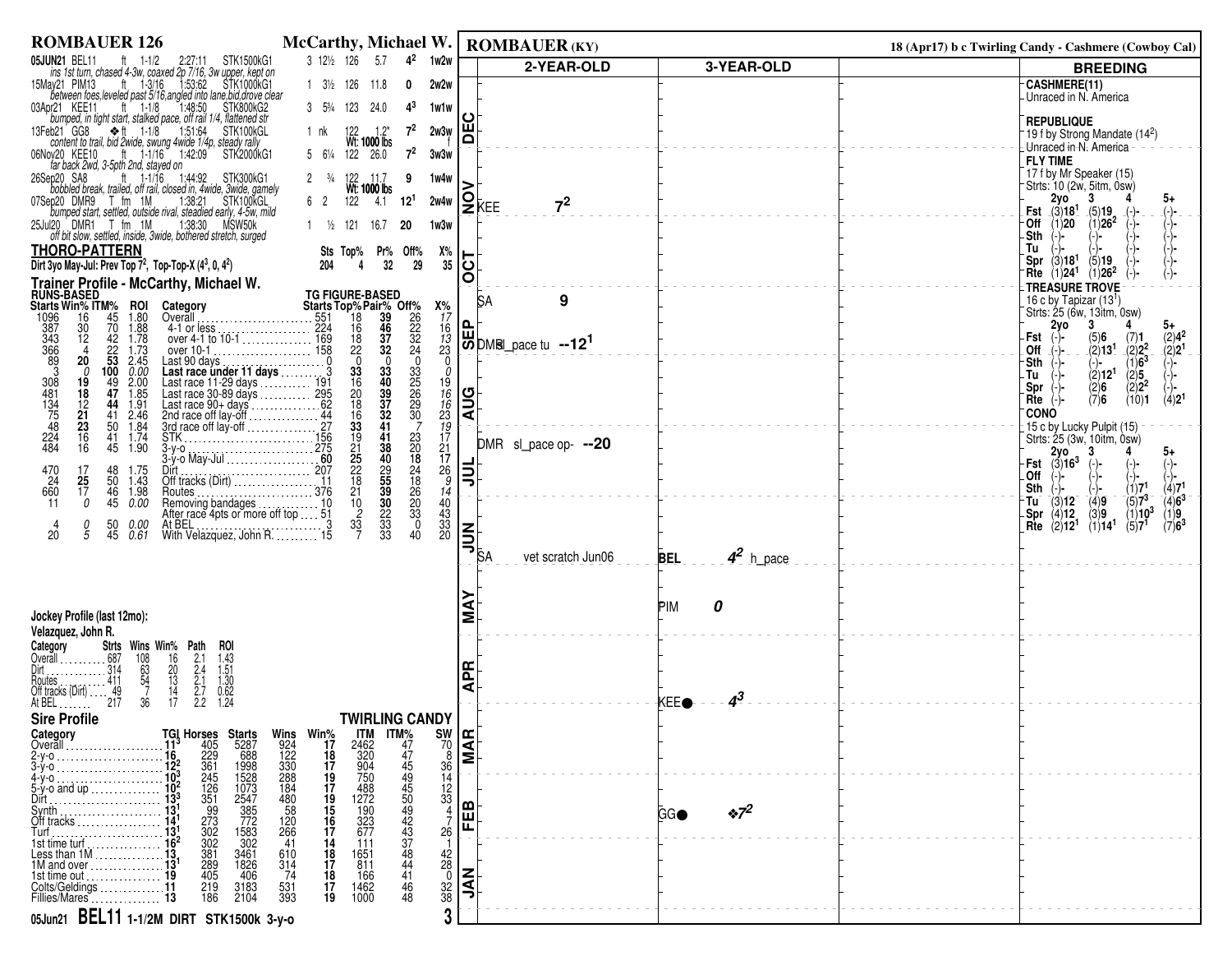| <b>ROMBAUER 126</b>                                                                                                                                                                                                                                                                                                                                       | McCarthy, Michael W.                                                                                                                                                                                                                          |                                                       | <b>ROMBAUER (KY)</b>                                                           |                            | 18 (Apr17) b c Twirling Candy - Cashmere (Cowboy Cal)                                                                           |
|-----------------------------------------------------------------------------------------------------------------------------------------------------------------------------------------------------------------------------------------------------------------------------------------------------------------------------------------------------------|-----------------------------------------------------------------------------------------------------------------------------------------------------------------------------------------------------------------------------------------------|-------------------------------------------------------|--------------------------------------------------------------------------------|----------------------------|---------------------------------------------------------------------------------------------------------------------------------|
| <b>05JUN21 BEL11</b> $\uparrow$ 1-1/2 2:27:11 STK1500KG1<br>ins 1st turn, chased 4-3w, coaxed 2p 7/16, 3w upper, kept on<br>15May21 PIM13 $\uparrow$ 1-3/16 1:53:62 STK1000KG1<br>between foes, leveled past 5/16, angled into lane, bid, drove cl                                                                                                        | 3 121/2 126<br>$4^2$<br>5.7<br>1w2w                                                                                                                                                                                                           |                                                       | 2-YEAR-OLD                                                                     | 3-YEAR-OLD                 | <b>BREEDING</b>                                                                                                                 |
|                                                                                                                                                                                                                                                                                                                                                           | $1 \t3\frac{1}{2} \t126$<br>11.8<br>0<br>2w2w                                                                                                                                                                                                 |                                                       |                                                                                |                            | <b>CASHMERE(11)</b><br>Unraced in N. America                                                                                    |
|                                                                                                                                                                                                                                                                                                                                                           | 3 53/4 123 24.0<br>$4^3$<br>1w1w                                                                                                                                                                                                              |                                                       |                                                                                |                            |                                                                                                                                 |
|                                                                                                                                                                                                                                                                                                                                                           | $7^2$<br>122<br>$1.2*$<br>1 nk<br>2w3w                                                                                                                                                                                                        | ١¥                                                    |                                                                                |                            | <b>REPUBLIQUE</b><br>19 f by Strong Mandate (14 <sup>2</sup> )                                                                  |
|                                                                                                                                                                                                                                                                                                                                                           | <b>Wt: 1000 lbs</b><br>122   26.0<br>$5 \t 6\frac{1}{4} \t 122$<br>$7^2$<br>3w3w                                                                                                                                                              |                                                       |                                                                                |                            | Unraced in N. America<br><b>FLY TIME</b>                                                                                        |
| far back 2wd, 3-5pth 2nd, stayed on<br>ft $1.1/16$ 1.44.92<br>26Sep20 SA8<br>STK300kG1                                                                                                                                                                                                                                                                    | 2 $\frac{3}{4}$<br>9<br>1w4w                                                                                                                                                                                                                  |                                                       |                                                                                |                            | 17 f by Mr Speaker (15)                                                                                                         |
| bobbled break, trailed, off rail, closed in, 4 wide, 3 wide, gamely<br>07Sep20 DMR9 T fm 1M<br>1:38:21 STK100KGL<br>1. bumped start, settled, outside rival, steadied early, 4-5w, mild                                                                                                                                                                   | 122<br>6 <sup>2</sup><br>$4.1$ 12 <sup>1</sup><br>2w4w                                                                                                                                                                                        | $ S_{\text{KEE}}$                                     |                                                                                |                            | Strts: 10 (2w, 5itm, 0sw)<br>2y0<br>З.                                                                                          |
| 25Jul20 DMR1 T fm 1M<br>1:38:30 MSW50k                                                                                                                                                                                                                                                                                                                    |                                                                                                                                                                                                                                               |                                                       | 7 <sup>2</sup>                                                                 |                            | <b>Est</b> $(3)18^1$<br>(5)19<br>$(1)26^2$<br>(1)20<br>∙Off                                                                     |
| off bit slow, settled, inside, 3wide, bothered stretch, surged                                                                                                                                                                                                                                                                                            | 121<br>1 $\frac{1}{2}$<br>16.7<br>20<br>1w3w                                                                                                                                                                                                  |                                                       |                                                                                |                            | -Sth<br>'-)-                                                                                                                    |
| <b>THORO-PATTERN</b><br>Dirt 3yo May-Jul: Prev Top 7 <sup>2</sup> , Top-Top-X (4 <sup>3</sup> , 0, 4 <sup>2</sup> )                                                                                                                                                                                                                                       | Pr%<br>Off%<br>$X\%$<br>Sts Top%<br>35                                                                                                                                                                                                        | 15                                                    |                                                                                |                            | Tu<br>(3)18 <sup>1</sup><br>Spr<br>(5)19                                                                                        |
|                                                                                                                                                                                                                                                                                                                                                           | op-X $(4^3, 0, 4^2)$<br><b>(hy, Michael W.</b><br>Category<br>Category<br>Coverall<br>4-1 or less<br>experience that the set of the set of the set of the set of the set of the set of the set of the set of the set of the set of the set of | O                                                     |                                                                                |                            | (1)24 <sup>1</sup><br>$(1)26^2$<br>Rte<br>TREASURE TROVE                                                                        |
| Trainer Profile - McCarthy, Michael W.<br>RUNS-BASED<br>Starts Win% ITM% ROI Category                                                                                                                                                                                                                                                                     |                                                                                                                                                                                                                                               |                                                       | $\boldsymbol{9}$<br><b>SA</b>                                                  |                            | 16 c by Tapizar $(13^1)$<br>Strts: 25 (6w, 13itm, 0sw)                                                                          |
| 45<br>$\frac{1.80}{1.88}$<br>$\frac{16}{30}$<br>70                                                                                                                                                                                                                                                                                                        | $x_{17}^{\prime\prime}$<br>$x_{16}^{\prime\prime}$<br>$x_{17}^{\prime\prime}$<br>$x_{18}^{\prime\prime}$<br>$x_{19}^{\prime\prime}$                                                                                                           |                                                       |                                                                                |                            | 2γο<br>3                                                                                                                        |
| 12                                                                                                                                                                                                                                                                                                                                                        |                                                                                                                                                                                                                                               |                                                       | $\left \biguplus_{\text{CD}}^{\text{L}}\right $ DMRI_pace tu --12 <sup>1</sup> |                            | $\binom{2}{2} 4^2$<br>(2) 2 <sup>1</sup><br>Fst<br>(5)6<br>(2)13 <sup>1</sup><br>Off                                            |
| $\frac{1096}{387}$<br>$\frac{387}{366}$<br>$\frac{366}{39}$<br>$42$ 1.78<br>$22$ 1.73<br>53 2.45<br>100 0.00<br>20<br>0                                                                                                                                                                                                                                   | Ò                                                                                                                                                                                                                                             |                                                       |                                                                                |                            | $(7)$ 1<br>$(2)$ 2 <sup>2</sup><br>$(1)$ 6 <sup>3</sup><br>$(2)$ 5<br>$(2)$ 2 <sup>2</sup><br>Sth                               |
| 19<br>49<br>$2.00$<br>1.85<br>47                                                                                                                                                                                                                                                                                                                          | 335<br>256<br>30<br>30<br>7                                                                                                                                                                                                                   |                                                       |                                                                                |                            | (2)12 <sup>1</sup><br>.Tu<br>Spr<br>(2)6                                                                                        |
| 308<br>481<br>134<br>75<br>75<br>48<br>18<br>$\frac{12}{21}$<br>1.91<br>44                                                                                                                                                                                                                                                                                |                                                                                                                                                                                                                                               | <b>AUG</b>                                            |                                                                                |                            | (7)6<br>(10)1<br>(4)2 <sup>1</sup><br>Rte<br><b>CONO</b>                                                                        |
| 41<br>2.46<br>50<br>1.84                                                                                                                                                                                                                                                                                                                                  | 196623197121789                                                                                                                                                                                                                               |                                                       |                                                                                |                            | 15 c by Lucky Pulpit (15)                                                                                                       |
| $\begin{array}{c} 23 \\ 16 \\ 16 \end{array}$<br>$\frac{224}{484}$<br>1.74<br>41<br>1.90<br>45                                                                                                                                                                                                                                                            |                                                                                                                                                                                                                                               |                                                       | DMR sl_pace op- --20                                                           |                            | Strts: 25 (3w, 10itm, 0sw)<br>2γο<br>5+                                                                                         |
| $\frac{48}{50}$<br>1.75                                                                                                                                                                                                                                                                                                                                   |                                                                                                                                                                                                                                               | 빏                                                     |                                                                                |                            | $(3)16^3$<br>Fst<br>.Off<br>(-)-                                                                                                |
| 4-1 or less<br>over 4-1 to 10-1<br>over 10-1<br>over 10-1<br>Last 90 days<br>Last race under 11 days<br>Last race 0-89 days<br>Last race 30-89 days<br>Last race 30-89 days<br>Last race 30-89 days<br>Last race 90+ days<br>Last race 90+ days<br>La<br>470<br>24<br>660<br>$\begin{array}{c} 17 \\ \textbf{25} \\ 17 \end{array}$<br>1.43<br>46<br>1.98 | 336086339122281210237<br>23<br>20<br>24<br>24<br>26<br>20<br>3<br>3<br>0<br>40                                                                                                                                                                |                                                       |                                                                                |                            | $\begin{array}{c} (-) \\ (1)7^1 \\ (5)7^3 \end{array}$<br>Sth                                                                   |
| 0<br>45<br>0.00<br>11                                                                                                                                                                                                                                                                                                                                     | 14<br>40<br>43<br>33<br>20                                                                                                                                                                                                                    |                                                       |                                                                                |                            | $(4)71$<br>(4)6 <sup>3</sup><br>(1)9<br>$\langle 3 \rangle$ 12<br>$\binom{4}{3}9$<br>∙Tu<br>(4)12<br>(1)10 <sup>3</sup><br>.Spr |
| 50<br>45<br>$\frac{0}{5}$<br>0.00<br>0.61<br>20                                                                                                                                                                                                                                                                                                           |                                                                                                                                                                                                                                               | $ \vec{\mathsf{s}} $                                  |                                                                                |                            | (1)14 <sup>1</sup><br>(5)7 <sup>1</sup><br>(7)6 <sup>3</sup><br>Rte<br>(2)12 <sup>1</sup>                                       |
|                                                                                                                                                                                                                                                                                                                                                           |                                                                                                                                                                                                                                               |                                                       | vet scratch Jun06                                                              | $4^2$ h_pace<br><b>BEL</b> |                                                                                                                                 |
|                                                                                                                                                                                                                                                                                                                                                           |                                                                                                                                                                                                                                               |                                                       |                                                                                |                            |                                                                                                                                 |
|                                                                                                                                                                                                                                                                                                                                                           |                                                                                                                                                                                                                                               |                                                       |                                                                                | PIM<br>0                   |                                                                                                                                 |
| Jockey Profile (last 12mo):                                                                                                                                                                                                                                                                                                                               |                                                                                                                                                                                                                                               | Σ                                                     |                                                                                |                            |                                                                                                                                 |
| Velazquez, John R.<br>Category                                                                                                                                                                                                                                                                                                                            |                                                                                                                                                                                                                                               |                                                       |                                                                                |                            |                                                                                                                                 |
| 11.<br>Strts Wins Win% Path ROI<br>687 108 16 2.1 1.43<br>314 63 20 2.4 1.51<br>49 7 14 2.7 0.62<br>217 36 17 2.2 1.24<br>$\cdots 687$<br>$\cdots 314$<br>Overall                                                                                                                                                                                         |                                                                                                                                                                                                                                               | Æ                                                     |                                                                                |                            |                                                                                                                                 |
| Houtes<br>Off tracks (Dirt)                                                                                                                                                                                                                                                                                                                               |                                                                                                                                                                                                                                               | ⋖                                                     |                                                                                |                            |                                                                                                                                 |
| At BEL<br>.                                                                                                                                                                                                                                                                                                                                               |                                                                                                                                                                                                                                               |                                                       |                                                                                | $4^{3}$<br>KEEO            |                                                                                                                                 |
| <b>Sire Profile</b><br>Category                                                                                                                                                                                                                                                                                                                           | <b>TWIRLING CANDY</b>                                                                                                                                                                                                                         |                                                       |                                                                                |                            |                                                                                                                                 |
| TGI Horses<br>11 <sup>3</sup> 405<br>16 <sup>2</sup> 229<br>12 <sup>2</sup> 361<br>10 <sup>3</sup> 245<br>Overall                                                                                                                                                                                                                                         | Wins<br>924<br>122<br>1330<br>288<br>480<br>480<br>58<br>Win%<br>17<br>18<br>17<br>19                                                                                                                                                         | $\frac{90}{70}$<br>$\frac{36}{14}$<br>$\frac{36}{14}$ |                                                                                |                            |                                                                                                                                 |
| $\frac{16}{12^2}$<br>$\frac{12^2}{10^3}$                                                                                                                                                                                                                                                                                                                  |                                                                                                                                                                                                                                               |                                                       |                                                                                |                            |                                                                                                                                 |
| $5-y$ -o and up<br>Dirt                                                                                                                                                                                                                                                                                                                                   | $\frac{12}{33}$                                                                                                                                                                                                                               |                                                       |                                                                                |                            |                                                                                                                                 |
| $13^{1}$                                                                                                                                                                                                                                                                                                                                                  | ITM<br>2462<br>320<br>320<br>758<br>4882<br>127<br>1932<br>577<br>677<br>$\frac{17}{19}$<br>$\frac{15}{16}$                                                                                                                                   | ⋒<br>回                                                |                                                                                | $\cdot \frac{1}{2}$<br>GGO |                                                                                                                                 |
| <b>Starts</b><br>5287<br>688<br>1998<br>1998<br>1928<br>1973<br>2547<br>385<br>772<br>1583<br>302<br>1261<br>351<br>273<br>302<br>381<br>388<br>Off tracks<br>Turf<br>13 <sup>1</sup><br>15 <sup>2</sup><br>15 <sup>2</sup><br>16 <sup>2</sup>                                                                                                            | $11M\%$<br>$47$<br>$44$<br>$44$<br>$44$<br>$44$<br>$43$<br>$44$<br>$44$<br>$\frac{120}{266}$<br>$\frac{17}{14}$<br>26<br>41<br>111                                                                                                            | ш                                                     |                                                                                |                            |                                                                                                                                 |
| 3461<br>1826<br>406<br>Less than $1M$<br>1M and over                                                                                                                                                                                                                                                                                                      | 1651<br>811<br>610<br>314<br>74<br>18<br>17                                                                                                                                                                                                   |                                                       |                                                                                |                            |                                                                                                                                 |
| 405<br>1st time out $\ldots$ . $\ldots$ . $\ldots$ .<br>11                                                                                                                                                                                                                                                                                                | $\frac{42}{28}$<br>$\frac{32}{38}$<br>$\overline{41}$<br>18<br>166<br>17                                                                                                                                                                      | ξ                                                     |                                                                                |                            |                                                                                                                                 |
| 219<br>Colts/Geldings<br>3183<br>2104<br>Fillies/Mares<br>186                                                                                                                                                                                                                                                                                             | 1462<br>1000<br>531<br>393<br>46<br>19<br>48                                                                                                                                                                                                  | ∍                                                     |                                                                                |                            |                                                                                                                                 |
| 05Jun21 BEL11 1-1/2M DIRT STK1500k 3-y-0                                                                                                                                                                                                                                                                                                                  | 3                                                                                                                                                                                                                                             |                                                       |                                                                                |                            |                                                                                                                                 |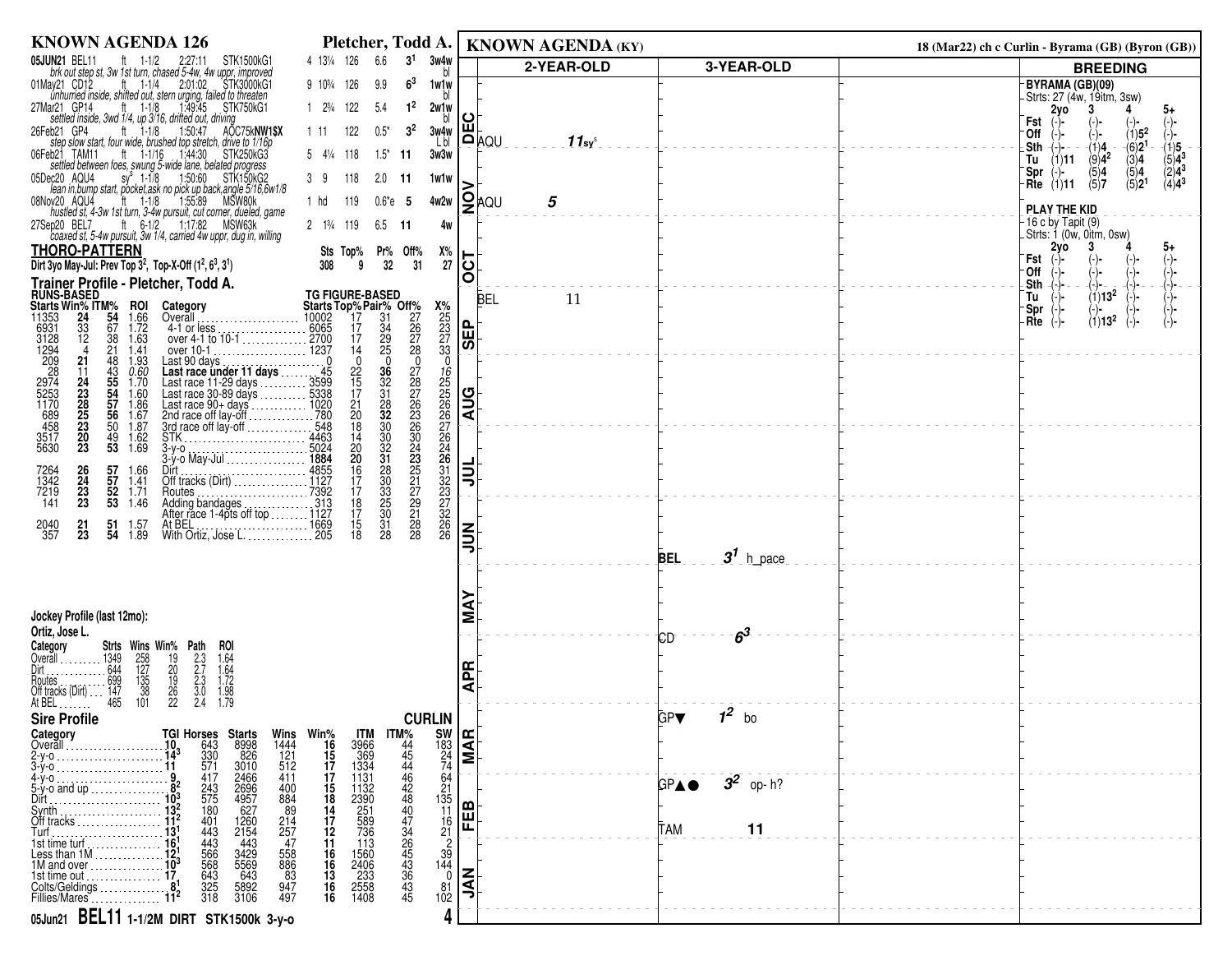| <b>KNOWN AGENDA 126</b>                                                                                                                                                                                                                            | Pletcher, Todd A.                                                                 |                              | <b>KNOWN AGENDA (KY)</b> |                           | 18 (Mar22) ch c Curlin - Byrama (GB) (Byron (GB))                                        |
|----------------------------------------------------------------------------------------------------------------------------------------------------------------------------------------------------------------------------------------------------|-----------------------------------------------------------------------------------|------------------------------|--------------------------|---------------------------|------------------------------------------------------------------------------------------|
| 4 131/4 126<br>6.6<br><b>05JUN21 BEL11</b><br>ft $1-1/2$<br>2:27:11 STK1500kG1<br>brk out step st, 3w 1st turn, chased 5-4w, 4w uppr, improved                                                                                                     | 3 <sup>1</sup><br>3w4w                                                            |                              | 2-YEAR-OLD               | 3-YEAR-OLD                | <b>BREEDING</b>                                                                          |
| 01May21 CD12<br>ft $1-1/4$<br>2:01:02 STK3000kG1<br>9 10 <sup>3</sup> / <sub>4</sub> 126<br>9.9<br>unhurried inside, shifted out, stern urging, failed to threaten                                                                                 | 6 <sup>3</sup><br>1w1w                                                            |                              |                          |                           | BYRAMA (GB)(09)<br>- Strts: 27 (4w, 19itm, 3sw)                                          |
| ft $1-1/8$<br>1.49.45 STK750kG1<br>1 23/4 122<br>27Mar21 GP14<br>5.4                                                                                                                                                                               | $1^2$<br>2w1w                                                                     |                              |                          |                           | 2yo<br>5+                                                                                |
| settled inside, 3wd 1/4, up 3/16, drifted out, driving<br>bb21 GP4 ft 1-1/8 150:47 AO<br>122<br>$0.5^*$<br>26Feb21 GP4<br>AOC75kNW1\$X<br>1 11                                                                                                     | $3^2$<br>3w4w                                                                     | ш                            |                          |                           | Fst<br>$(1)5^2$<br>∙Off                                                                  |
| step slow start, four wide, brushed top stretch, drive to 1/16p<br>06Feb21<br>TAM11<br>ft 1-1/16 1:44:30 STK250kG3<br>$5 \t4\frac{1}{4} \t118$                                                                                                     | Lbl<br>$1.5^*$ 11<br>3w3w                                                         |                              | ≀oµa<br>$11$ sys         |                           | $\dot{6}$ )2 <sup>1</sup><br>.Sth<br>$-(1)4$<br>(1)5<br>-)- −<br>$\langle 9 \rangle 4^2$ |
| settled between foes, swung 5-wide lane, belated progress<br>sy <sup>s</sup> 1-1/8 1:50:60 STK150kG2<br>05Dec20 AQU4<br>39<br>118<br>2.0                                                                                                           | 1w1w<br>- 11                                                                      |                              |                          |                           | $(5)4^3$<br>$(1)$ 11<br>(3)4<br>Tu<br>(5)4<br>$(2)4^3$<br>(5)4<br>-Spr<br>(-)-           |
| lean in, bump start, pocket, ask no pick up back, angle 5/16, 6w1/8                                                                                                                                                                                |                                                                                   |                              |                          |                           | (5)2 <sup>1</sup><br>$(4)4^3$<br>(5)7<br>$Rite$ (1)11                                    |
| $ft = 1-1/8$<br>1:55:89 MSW80k<br>08Nov20 AQU4<br>1 hd<br>- 119<br>hustled st, 4-3w 1st turn, 3-4w pursuit, cut corner, dueled, game                                                                                                               | $0.6^*e$ 5<br>4w2w                                                                |                              | <b>Q</b> aQ∪<br>5        |                           | PLAY THE KID                                                                             |
| ft 6-1/2 1:17:82 MSW63k<br>27Sep20 BEL7<br>$2 \t13/4 \t119$<br>6.5<br>coaxed st, 5-4w pursuit, 3w 1/4, carried 4w uppr, dug in, willing                                                                                                            | -11<br>4w                                                                         |                              |                          |                           | -16 c by Tapit (9)<br>Strts: 1 (0w, 0itm, 0sw)                                           |
| <b>THORO-PATTERN</b><br>Sts Top%                                                                                                                                                                                                                   | Х%<br>Pr% Off%                                                                    |                              |                          |                           | 2vo<br>5+<br>Fst                                                                         |
| Dirt 3yo May-Jul: Prev Top 3 <sup>2</sup> , Top-X-Off (1 <sup>2</sup> , 6 <sup>3</sup> , 3 <sup>1</sup> )<br>308<br>9                                                                                                                              | 32<br>31<br>27                                                                    | 5<br>O                       |                          |                           | ∙Off                                                                                     |
| Trainer Profile - Pletcher, Todd A.<br><b>RUNS-BASED</b><br><b>TG FIGURE-BASED</b>                                                                                                                                                                 |                                                                                   |                              | <b>BEL</b><br>11         |                           | Sth<br>$(1)13^2$<br>Tu                                                                   |
| Starts Top% Pair% Off%<br>10002 17 31 27<br>Starts Win% ITM%<br>11353 24 54<br><b>ROI</b><br>1.66<br>Category<br>Overāll                                                                                                                           | $x_{25}^{\circ}$<br>$x_{23}^{\circ}$<br>$x_{33}^{\circ}$                          |                              |                          |                           | -Spr<br>$(1)13^2$<br>-Rte                                                                |
| 33<br>12<br>67<br>1.72<br>6931<br>3128<br>1294<br>. 6065<br>4-1 or less.<br>17<br>17<br>38<br>1.63                                                                                                                                                 | $\frac{34}{29}$<br>26<br>27<br>28                                                 | $ \mathbf{H} $               |                          |                           |                                                                                          |
| ŽĬ.<br>14<br>1.41<br>21<br>48<br>1.93<br>Last 90 days.<br>$\mathbf{0}$                                                                                                                                                                             | $\mathbf{0}$<br>$\mathbf 0$                                                       | । $\overline{\bm{\omega}}$ । |                          |                           |                                                                                          |
| 43<br>55<br>54<br>57<br>56<br>$0.60$<br>1.70<br>Last race under 11 days<br>Last race 11-29 days<br>Last race 11-29 days<br>Last race 30-89 days<br>$\frac{22}{15}$<br>17<br>11                                                                     |                                                                                   |                              |                          |                           |                                                                                          |
| 24<br>23<br>28<br>25<br>Last race 30-89 days<br>Last race 30-89 days<br>Last race 90+ days<br>2nd race off lay-off<br>3rd race off lay-off<br>3rd race off lay-off<br>1.60                                                                         | 36<br>32<br>32<br>32<br>32                                                        | <b>AUG</b>                   |                          |                           |                                                                                          |
| 1.86<br>1.67<br>$^{21}_{20}$                                                                                                                                                                                                                       |                                                                                   |                              |                          |                           |                                                                                          |
| 209<br>28<br>2974<br>5253<br>5253<br>458<br>458<br>3517<br>5630<br>23<br>50<br>1.87<br>$^{20}_{23}$<br>$\frac{49}{53}$<br>1.62<br>1.69<br>4463                                                                                                     |                                                                                   |                              |                          |                           |                                                                                          |
| 18<br>14<br>20<br>20<br>16<br>17<br>.5024<br>$3-y-0$ .                                                                                                                                                                                             | 0787633604332222222<br>1222222246123322322322<br>30<br>30<br>32<br>31<br>28<br>30 |                              |                          |                           |                                                                                          |
| $\frac{57}{57}$<br>$^{26}_{24}$<br>1.66<br>7264<br>1342<br>7219<br>1.41                                                                                                                                                                            |                                                                                   | 빏                            |                          |                           |                                                                                          |
| 23<br>$\frac{52}{53}$ 1.71<br>53 1.46<br>$\overline{7392}$<br>17<br>Routes.<br>23<br>141<br>$\begin{array}{c} 18 \\ 17 \end{array}$<br>Adding bandages                                                                                             | $\frac{33}{25}$<br>$\frac{27}{29}$                                                |                              |                          |                           |                                                                                          |
| After race 1-4pts off top  1127<br>At BEL<br>21<br>51<br>1.57                                                                                                                                                                                      |                                                                                   |                              |                          |                           |                                                                                          |
| $\begin{array}{c} 15 \\ 18 \end{array}$<br>2040<br>357<br>54<br>With Ortiz, Jose L. 205<br>23<br>1.89                                                                                                                                              | $\frac{31}{28}$<br>28<br>28                                                       | $\leq$                       |                          |                           |                                                                                          |
|                                                                                                                                                                                                                                                    |                                                                                   |                              |                          | $31$ h_pace<br><b>BEL</b> |                                                                                          |
|                                                                                                                                                                                                                                                    |                                                                                   |                              |                          |                           |                                                                                          |
|                                                                                                                                                                                                                                                    |                                                                                   |                              |                          |                           |                                                                                          |
| Jockey Profile (last 12mo):<br>Ortiz, Jose L.                                                                                                                                                                                                      |                                                                                   | Σ                            |                          |                           |                                                                                          |
| Category<br>Strts Wins Win% Path<br>roi                                                                                                                                                                                                            |                                                                                   |                              |                          | $6^3$<br>СD               |                                                                                          |
| 1349<br>Overāll                                                                                                                                                                                                                                    |                                                                                   | 뚠                            |                          |                           |                                                                                          |
| $\frac{258}{127}$<br>$\frac{127}{35}$<br>$\frac{35}{36}$<br>$\frac{101}{101}$<br>1.64<br>1.64<br>1.72<br>1.79<br>1.79<br>$2.3$<br>$2.3$<br>$3.0$<br>$2.4$<br>19<br>20<br>19<br>26<br>22<br>644<br>699<br>147<br>465<br>loutes<br>Off tracks (Dirt) |                                                                                   | ⋖                            |                          |                           |                                                                                          |
| At BEL                                                                                                                                                                                                                                             |                                                                                   |                              |                          | $1^2$ bo                  |                                                                                          |
| <b>Sire Profile</b><br>Category                                                                                                                                                                                                                    | <b>CURLIN</b>                                                                     |                              |                          | GP▼                       |                                                                                          |
| <b>TGI Horses<br/>10</b> 643<br>14 <sup>3</sup> 330<br>11 571<br>Starts<br>8998<br>826<br>3010<br>Wins<br>1444<br>121<br>512<br>Win%<br>16<br>15<br>1 <u>7</u><br><b>ITM</b><br>3966<br>369<br>1334<br>Overall                                     |                                                                                   | $\frac{183}{24}$             |                          |                           |                                                                                          |
| 2466<br>411<br>417<br>1131                                                                                                                                                                                                                         | 64                                                                                |                              |                          |                           |                                                                                          |
| $17$<br>$15$<br>$18$<br>$14$<br>$17$<br>$12$<br>$11$<br>2696<br>4957<br>627<br>243<br>575<br>400<br>884<br>$5-y$ -o and up $\ldots$ .<br>Dirt                                                                                                      |                                                                                   |                              |                          | $3^2$ op-h?<br>GPA●       |                                                                                          |
| 1132<br>2390<br>251<br>589<br>736<br>180<br>89<br>Svnth                                                                                                                                                                                            | $\frac{21}{135}$<br>$\frac{11}{16}$<br>$\frac{1}{21}$                             | 刪                            |                          |                           |                                                                                          |
| 1260<br>2154<br>$\frac{214}{257}$<br>401<br>443<br>Off tracks                                                                                                                                                                                      |                                                                                   |                              |                          | 11<br>TAM                 |                                                                                          |
| 16'<br>443<br>566<br>568<br>$-443$<br>113<br>1st time turf.<br>Less than 1M                                                                                                                                                                        | $\frac{2}{39}$<br>144<br>0                                                        |                              |                          |                           |                                                                                          |
| 3429<br>5569<br>643<br>558<br>886<br>83<br>947<br>16<br>16<br>13<br>16<br>16<br>1M and over<br>643<br>1st time out                                                                                                                                 |                                                                                   | ΙĘ                           |                          |                           |                                                                                          |
| 1560<br>2406<br>233<br>2558<br>1408<br>$\frac{325}{318}$<br>5892<br>3106<br>Colts/Geldings<br>497<br>Fillies/Mares                                                                                                                                 | $\frac{81}{102}$                                                                  | っ                            |                          |                           |                                                                                          |
| 05Jun21 BEL11 1-1/2M DIRT STK1500k 3-y-0                                                                                                                                                                                                           | 4                                                                                 |                              |                          |                           |                                                                                          |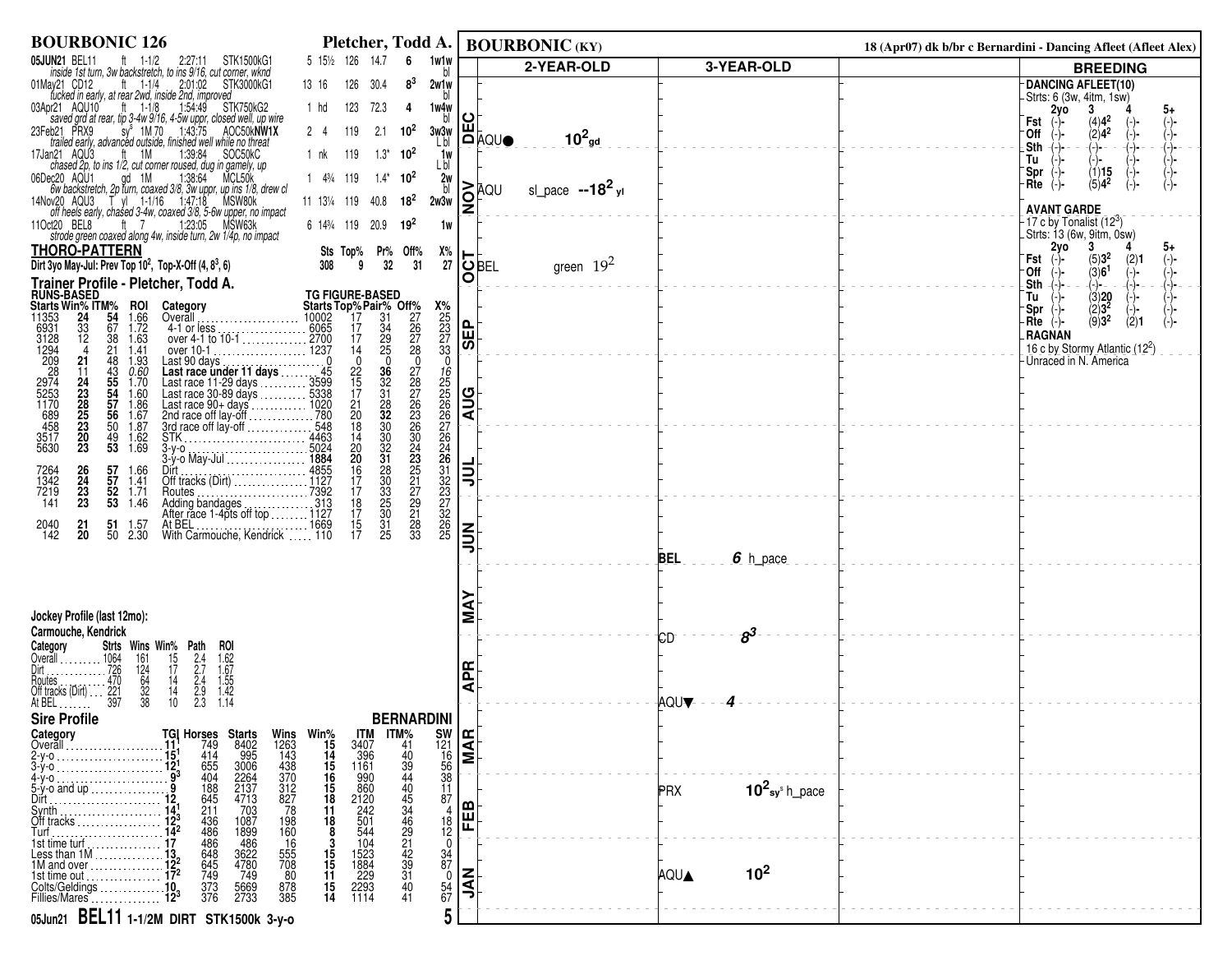| <b>BOURBONIC 126</b>                                                                                                                                                                                                                                                                            | Pletcher, Todd A.                                                                                                              |                                                                                                          | <b>BOURBONIC (KY)</b>                  |                                             | 18 (Apr07) dk b/br c Bernardini - Dancing Afleet (Afleet Alex)          |
|-------------------------------------------------------------------------------------------------------------------------------------------------------------------------------------------------------------------------------------------------------------------------------------------------|--------------------------------------------------------------------------------------------------------------------------------|----------------------------------------------------------------------------------------------------------|----------------------------------------|---------------------------------------------|-------------------------------------------------------------------------|
| 05JUN21 BEL11<br>JN21 BEL11 ft 1-1/2 2:27:11 STK1500kG1<br>inside 1st turn, 3w backstretch, to ins 9/16, cut corner, wknd                                                                                                                                                                       | 5 151/2 126 14.7<br>6                                                                                                          | 1w1w<br>bl                                                                                               | 2-YEAR-OLD                             | 3-YEAR-OLD                                  | <b>BREEDING</b>                                                         |
| 2:01:02<br>STK3000kG1<br>01May21 CD12<br>ft $1-1/4$                                                                                                                                                                                                                                             | 126<br>$8^3$<br>13 16<br>30.4                                                                                                  | 2w1w                                                                                                     |                                        |                                             | DANCING AFLEET(10)<br>-Strts: 6 (3w, 4itm, 1sw)                         |
| fucked in early, at rear 2wd, inside 2nd, improved<br>pr21 AQU10 ft 1-1/8 154:49 STK750kG2<br>03Apr21 AQU10                                                                                                                                                                                     | 123<br>72.3<br>1 hd<br>-4                                                                                                      | 1w4w                                                                                                     |                                        |                                             | 3<br>2yo<br>5+                                                          |
| $\frac{1}{2}$ saved grd at rear, tip 3-4w 9716, 4-5w uppr, closed well, up wire<br>b21 PRX9 sy 1M 70 1:43:75 AOC50kNW1X<br>trailed early, advanced outside, finished well while no threat<br>23Feb21 PRX9                                                                                       | 119<br>2.1<br>$2 \quad 4$<br>$10^2$                                                                                            | bl<br>ш<br>3w3w                                                                                          |                                        |                                             | $\binom{4}{2}$ 4 <sup>2</sup><br>Fst<br>∙Off                            |
| 17Jan21 AQU3                                                                                                                                                                                                                                                                                    | 119<br>$1.3^*$ 10 <sup>2</sup><br>1 nk                                                                                         | L bl<br>1w                                                                                               | $10^2$ <sub>gd</sub><br>I <b>⊡</b> ¤o∩ |                                             | $(-)$<br>.Sth<br>(−)− ·                                                 |
| nn21 AQU3 ft 1M 1:39:84 SOC50kC<br>chased 2p, to ins 1/2, cut corner roused, dug in gamely, up<br>06Dec20 AQU1                                                                                                                                                                                  | $14\frac{3}{4}119$<br>$1.4^*$ 10 <sup>2</sup>                                                                                  | L bl                                                                                                     |                                        |                                             | Tu<br>(1)15<br>'Spr                                                     |
| ec20 AQU1 gd 1M 1:38:64 MCL50k<br>6w backstretch, 2p turn, coaxed 3/8, 3w uppr, up ins 1/8, drew cl<br>0w20 AQU3 T yl 1-1/16 1:47:18 MSW80k<br>off heels early, chased 3-4w, coaxed 3/8, 5-6w upper, no impact                                                                                  |                                                                                                                                | 2w<br>bl                                                                                                 | i≳āQ∪<br>sl_pace $-18^2$ <sub>yl</sub> |                                             | $(5)4^2$<br>$Rte$ $(-)$                                                 |
| 14Nov20 AQU3                                                                                                                                                                                                                                                                                    | $18^{2}$<br>11 131/4 119 40.8                                                                                                  | '2<br>2w3w                                                                                               |                                        |                                             | <b>AVANT GARDE</b>                                                      |
| 11Oct20 BEL8<br>ft $7$<br>1:23:05 MSW63k<br>strode green coaxed along 4w, inside turn, 2w 1/4p, no impact                                                                                                                                                                                       | 6 143/4 119 20.9<br>$19^2$                                                                                                     | 1w                                                                                                       |                                        |                                             | 17 c by Tonalist $(12^3)$                                               |
| <b>THORO-PATTERN</b>                                                                                                                                                                                                                                                                            | Sts Top% Pr% Off%<br>308 9 32 31                                                                                               | Х%                                                                                                       |                                        |                                             | Strts: 13 (6w, 9itm, 0sw)<br>2vo 3 4<br>2y0<br>5+                       |
| Dirt 3yo May-Jul: Prev Top 10 <sup>2</sup> , Top-X-Off (4, 8 <sup>3</sup> , 6)                                                                                                                                                                                                                  |                                                                                                                                | 27<br>O                                                                                                  | green $19^2$<br>∣OBEL                  |                                             | $(5)3^{2}$<br>Fst<br>$(2)1$<br>(-)-<br>(−)−<br>(3)6 <sup>1</sup><br>0ff |
| Trainer Profile - Pletcher, Todd A.<br><b>RUNS-BASED</b>                                                                                                                                                                                                                                        | <b>TG FIGURE-BASED</b>                                                                                                         |                                                                                                          |                                        |                                             | -(-)−<br>Sth<br>(-)− –<br>-(-)-<br>Tu<br>(−)−                           |
| Starts Win% ITM%<br>11353 24 54<br>6931 33 67<br><b>ROI</b><br>1.66<br>1.72<br>Category                                                                                                                                                                                                         | <b>Starts Top%Pair% Primes</b><br>10002 17 31 27<br>10002 17 34 26<br>1270 17 34 26<br>1237 14 25 28<br>11 22 20<br>1002 20 20 | $\frac{X\%}{25}$<br>$\frac{25}{27}$<br>$\frac{27}{33}$                                                   |                                        |                                             | $\begin{array}{c} (3)20 \\ (2)3^2 \\ (9)3^2 \end{array}$<br>`Spr        |
| $\frac{33}{12}$<br>1.63                                                                                                                                                                                                                                                                         |                                                                                                                                | <b>SEP</b>                                                                                               |                                        |                                             | (2)1<br>$Rte$ $(-)$<br>RAGNAN                                           |
| $\frac{38}{21}$<br>48<br>1.41                                                                                                                                                                                                                                                                   |                                                                                                                                |                                                                                                          |                                        |                                             | 16 c by Stormy Atlantic (122)                                           |
| 6931<br>3128<br>31294<br>1294<br>2009<br>2874<br>5255<br>5630<br>5630<br>1.93<br>21<br>$0.60$<br>1.70<br>11                                                                                                                                                                                     |                                                                                                                                | $\mathbf 0$                                                                                              |                                        |                                             | Unraced in N. America                                                   |
| 43<br>55<br>54<br>56<br>56<br>50<br>1.60                                                                                                                                                                                                                                                        | $\frac{36}{32}$<br>31<br>27<br>28<br>27<br>26<br>23<br>26<br>$\frac{22}{15}$<br>17                                             |                                                                                                          |                                        |                                             |                                                                         |
| 1.86<br>1.67                                                                                                                                                                                                                                                                                    | $\frac{28}{32}$<br>32<br>$\begin{array}{c} 21 \\ 20 \\ 18 \end{array}$                                                         | <b>AUG</b>                                                                                               |                                        |                                             |                                                                         |
| 24<br>23<br>28<br>25<br>23<br>20<br>23<br>1.87                                                                                                                                                                                                                                                  |                                                                                                                                |                                                                                                          |                                        |                                             |                                                                         |
| over 10-1<br>Last 90 days<br>Last race under 11 days<br>Last race 11-29 days<br>Last race 11-29 days<br>Last race 30-80 days<br>Last race 90-4 days<br>Last race 90-4 days<br>Last race 90-4 days<br>2nd race off lay-off<br>2nd race off lay-off<br><br>$\frac{1.62}{1.69}$<br>$\frac{49}{53}$ |                                                                                                                                |                                                                                                          |                                        |                                             |                                                                         |
| Dirt<br>Off tracks (Dirt)<br>Pictures<br>Routes<br>1.66<br>1.41                                                                                                                                                                                                                                 | 30<br>24<br>25<br>25<br>27<br>27<br>14<br>20<br>20<br>16<br>17<br>17                                                           | Ę                                                                                                        |                                        |                                             |                                                                         |
| 57<br>57<br>52<br>53<br>26<br>24<br>23<br>23<br>7264<br>1342<br>7219<br>1.71<br>141                                                                                                                                                                                                             | 30<br>32<br>30<br>30<br>33<br>25<br>30                                                                                         | 1222222246123322322322322322                                                                             |                                        |                                             |                                                                         |
| 1.46<br>Adding bandages<br>After race 1-4pts off top 1127                                                                                                                                                                                                                                       | 29<br>21<br>28<br>33<br>$\begin{array}{c} 18 \\ 17 \end{array}$                                                                |                                                                                                          |                                        |                                             |                                                                         |
| At BEL<br>With Carmouche, Kendrick  110<br>2040<br>142<br>21<br>51<br>1.57<br>20<br>50<br>2.30                                                                                                                                                                                                  | $\frac{15}{17}$<br>$\frac{31}{25}$                                                                                             | $\leq$<br>$\overline{25}$                                                                                |                                        |                                             |                                                                         |
|                                                                                                                                                                                                                                                                                                 |                                                                                                                                | ぅ.                                                                                                       |                                        | 6 h_pace<br>BEL                             |                                                                         |
|                                                                                                                                                                                                                                                                                                 |                                                                                                                                |                                                                                                          |                                        |                                             |                                                                         |
|                                                                                                                                                                                                                                                                                                 |                                                                                                                                |                                                                                                          |                                        |                                             |                                                                         |
| Jockey Profile (last 12mo):                                                                                                                                                                                                                                                                     |                                                                                                                                |                                                                                                          |                                        |                                             |                                                                         |
| Carmouche, Kendrick<br>Strts Wins Win% Path<br>roi                                                                                                                                                                                                                                              |                                                                                                                                |                                                                                                          |                                        | $s^3$<br>СD                                 |                                                                         |
| Category<br>Category Strts<br>Cyerall 1064<br>Dirt 726<br>Routes<br>Cyrister 470<br>Off tracks (Dirt) 221<br>At BEL 1111123<br>$\frac{15}{17}$<br>161                                                                                                                                           |                                                                                                                                |                                                                                                          |                                        |                                             |                                                                         |
| 124<br>$\frac{14}{14}$                                                                                                                                                                                                                                                                          |                                                                                                                                | 뙤<br>⋖                                                                                                   |                                        |                                             |                                                                         |
| $1.62$<br>$1.67$<br>$1.55$<br>$1.42$<br>$1.14$<br>$2.4$<br>$2.7$<br>$2.9$<br>$2.9$<br>$2.3$<br>$\begin{array}{c}\n 64 \\  32 \\  38\n \end{array}$<br>10                                                                                                                                        |                                                                                                                                |                                                                                                          |                                        | AQU▼                                        |                                                                         |
| <b>Sire Profile</b>                                                                                                                                                                                                                                                                             | <b>BERNARDINI</b>                                                                                                              |                                                                                                          |                                        |                                             |                                                                         |
| Category<br>Overall                                                                                                                                                                                                                                                                             |                                                                                                                                |                                                                                                          |                                        |                                             |                                                                         |
| $2-y-0$                                                                                                                                                                                                                                                                                         |                                                                                                                                | $\frac{1}{21}$<br>$\frac{1}{21}$<br>$\frac{1}{21}$<br>$\frac{1}{21}$<br>$\frac{1}{21}$<br>$\frac{1}{21}$ |                                        |                                             |                                                                         |
| <b>TGI Horses Starts Wins Win%</b><br>11 <sup>1</sup> 749 8402 1263 15<br>151 414 995 143 14<br>12 655 3006 438 15<br>19 404 2264 370 16<br>19 188 2137 312 15<br>12 645 4713 827 18<br>14 211 703 78 11<br>14 216 1087 198 11<br>4-у-о                                                         |                                                                                                                                | 11                                                                                                       |                                        |                                             |                                                                         |
| 5-y-o and up<br>Dirt.                                                                                                                                                                                                                                                                           |                                                                                                                                | 87                                                                                                       |                                        | $10^2$ sy <sup>s</sup> h_pace<br><b>PRX</b> |                                                                         |
| Synth<br>Off tracks                                                                                                                                                                                                                                                                             | $\begin{array}{c} 18 \\ 8 \end{array}$                                                                                         | ш<br>匸                                                                                                   |                                        |                                             |                                                                         |
| 436<br>486<br>486<br>1087<br>1899<br>486<br>4780<br>4780<br>749<br>198<br>160<br>16<br>555<br>5708<br>80<br>Turf<br>1st time turf                                                                                                                                                               |                                                                                                                                | $\frac{18}{12}$                                                                                          |                                        |                                             |                                                                         |
| 648<br>645<br>749<br>Less than 1M.<br>1M and over.                                                                                                                                                                                                                                              | $\frac{3}{15}$<br>$\frac{15}{11}$                                                                                              | $\begin{array}{c} 3\bar{4} \\ 87 \\ 0 \end{array}$                                                       |                                        |                                             |                                                                         |
| 1st time out .<br>Colts/Geldings                                                                                                                                                                                                                                                                | 1523<br>1884<br>229<br>2293<br>1114                                                                                            | ξ                                                                                                        |                                        | 10 <sup>2</sup><br>AQUA                     |                                                                         |
| $\frac{373}{376}$<br>5669<br>2733<br>878<br>385<br>Fillies/Mares                                                                                                                                                                                                                                | $\frac{15}{14}$<br>$^{40}_{41}$                                                                                                | $\frac{54}{67}$<br>ぅ                                                                                     |                                        |                                             |                                                                         |
| 05Jun21 BEL11 1-1/2M DIRT STK1500k 3-y-0                                                                                                                                                                                                                                                        |                                                                                                                                | 5                                                                                                        |                                        |                                             |                                                                         |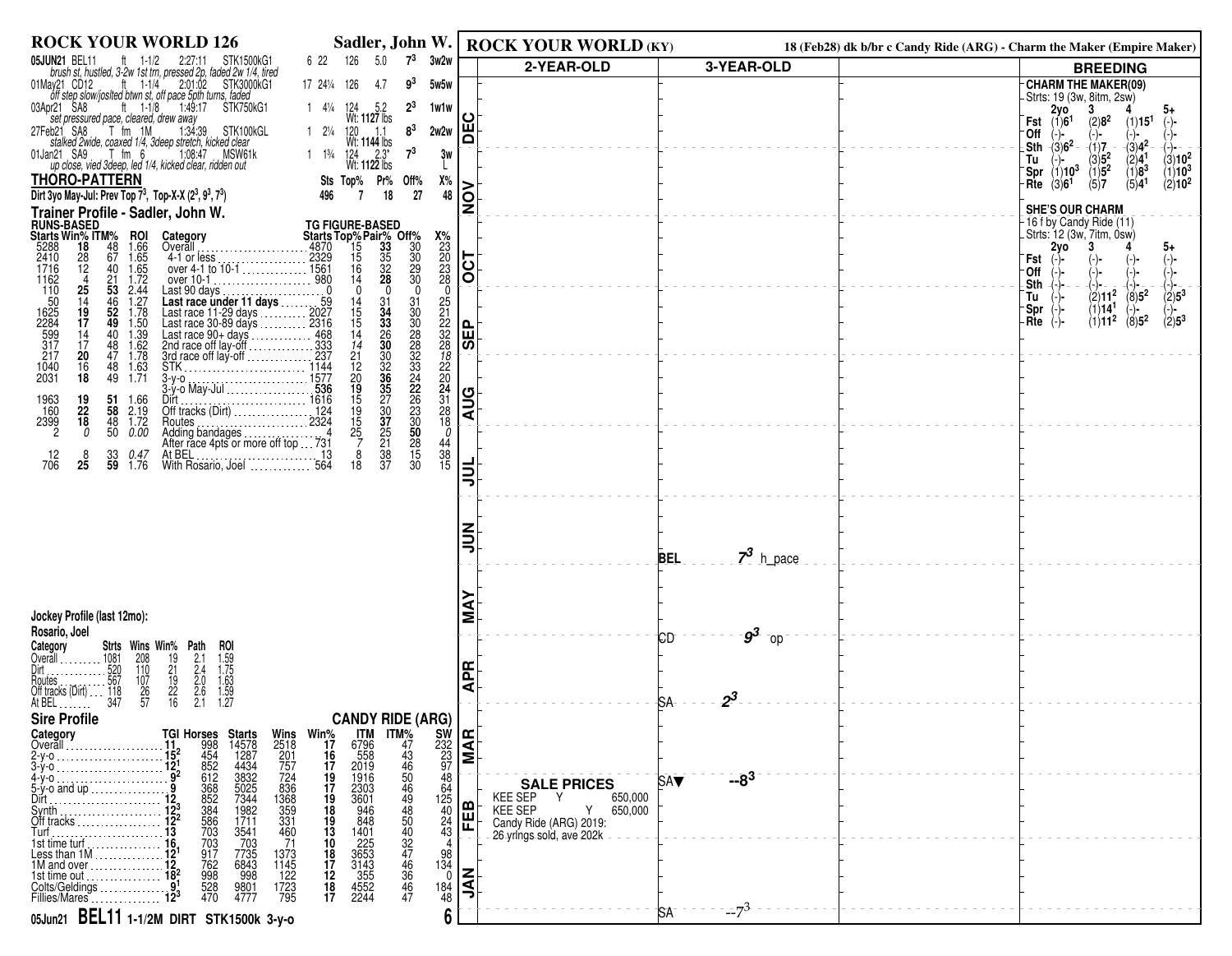| <b>ROCK YOUR WORLD 126</b><br>Sadler, John W.                                                                                                                                                                                                                                                                                                                                                                                       |                                | <b>ROCK YOUR WORLD (KY)</b>                     |                           | 18 (Feb28) dk b/br c Candy Ride (ARG) - Charm the Maker (Empire Maker)                                                       |
|-------------------------------------------------------------------------------------------------------------------------------------------------------------------------------------------------------------------------------------------------------------------------------------------------------------------------------------------------------------------------------------------------------------------------------------|--------------------------------|-------------------------------------------------|---------------------------|------------------------------------------------------------------------------------------------------------------------------|
| $7^3$<br>05JUN21 BEL11<br>126<br>5.0<br>3w2w<br>ft $1-1/2$<br>STK1500kG1<br>6 22<br>2:27:11<br>brush st, hustled, 3-2w 1st trn, pressed 2p, faded 2w 1/4, tired                                                                                                                                                                                                                                                                     |                                | 2-YEAR-OLD                                      | 3-YEAR-OLD                | <b>BREEDING</b>                                                                                                              |
| 01May21 CD12<br>ft $1-1/4$<br>2:01:02 STK3000kG1<br>$9^3$<br>17 241/4 126<br>5w5w<br>-4.7<br>off step slow/josited btwn st, off pace 5pth turns, faded                                                                                                                                                                                                                                                                              |                                |                                                 |                           | <b>CHARM THE MAKER(09)</b><br>- Strts: 19 (3w, 8itm, 2sw)                                                                    |
| 1:49:17 STK750kG1<br>$2^3$<br>03Apr21 SA8<br>ft $1-1/8$<br>$1$ 4 <sup>1</sup> / <sub>4</sub> 124 5.2<br>Wt: <b>1127</b> lbs<br>1w1w                                                                                                                                                                                                                                                                                                 | ပ                              |                                                 |                           | $2y0$<br>(1)6 <sup>1</sup><br>3<br>5+                                                                                        |
| set pressured pace, cleared, drew away<br>eb21 SA8 T fm 1M 1:34:39 STK100kGL<br>$1 \t2^{1/4} \t120 \t1.1$<br>Wt: 1144 lbs<br>8 <sup>3</sup><br>27Feb21 SA8<br>2w2w                                                                                                                                                                                                                                                                  | Ě                              |                                                 |                           | $(2)8^2$<br>(1)15 <sup>1</sup><br>Fst<br>⊺Off                                                                                |
| stalked 2wide, coaxed 1/4, 3deep stretch, kicked clear<br>$7^3$<br>01Jan21 SA9<br>1:08:47 MSW61k<br>1 $1\frac{13}{4}$ $124$ $2.3^*$<br>Wt: <b>1122</b> lbs<br>an21 SA9 T fm 6 1:08:47 MSW6<br>up close, vied 3deep, led 1/4, kicked clear, ridden out<br>3w                                                                                                                                                                         |                                |                                                 |                           | $\mathsf{L}$ Sth $\frac{1}{3}$ (3)6 <sup>2</sup><br>$-(3)4^2$<br>(1)7<br>(-)−<br>$(3)10^{2}$                                 |
| <b>THORO-PATTERN</b><br>Х%                                                                                                                                                                                                                                                                                                                                                                                                          |                                |                                                 |                           | $\begin{array}{c} (3)5^2 \\ (1)5^2 \\ (5)7 \end{array}$<br>$\binom{2}{1}$<br>(1)8 <sup>3</sup><br>$(1)10^3$<br>Spr $(1)10^3$ |
| Sts Top% Pr% Off%<br>496 7 18 27<br>Dirt 3yo May-Jul: Prev Top 73, Top-X-X (23, 93, 73)<br>48                                                                                                                                                                                                                                                                                                                                       | $\delta$                       |                                                 |                           | Rte $(3)6^1$<br>$(2)10^2$<br>(5)4 <sup>1</sup>                                                                               |
| Trainer Profile - Sadler, John W.<br>TG FIGURE-BASED<br>Starts Top% Pair% Off%<br>4870 15 335 30<br>4870 15 335 30<br>48729 15 328 229<br>14 28                                                                                                                                                                                                                                                                                     | Ž                              |                                                 |                           | <b>SHE'S OUR CHARM</b><br>-16 f by Candy Ride (11)                                                                           |
| <b>RUNS-BASED<br/>Starts Win% ITM%</b><br>5288 18 48<br>2410 28 67<br>Category<br>Overall                                                                                                                                                                                                                                                                                                                                           |                                |                                                 |                           | . Strts: 12 (3w, 7itm, 0̀sẃ)<br>2y0                                                                                          |
| <b>ROI</b><br>1.66<br>1.65<br>1.65<br>1.72<br>$\frac{4870}{2329}$<br>$\frac{28}{12}$<br>4-1 or less                                                                                                                                                                                                                                                                                                                                 | $\overline{OC}$                |                                                 |                           | 5+<br>Fst                                                                                                                    |
| over 4-1 to 10-1<br>over 10-1<br>over 10-1<br>4                                                                                                                                                                                                                                                                                                                                                                                     |                                |                                                 |                           | -Off<br>Sth                                                                                                                  |
| $\frac{40}{21}$<br>53<br>$\frac{46}{52}$<br>52<br>49<br>$2.44$<br>$1.27$<br>$1.78$<br>$\frac{25}{14}$<br>19<br>Last 90 days.<br>$\mathbf 0$<br>$\mathbf{0}$<br>$\boldsymbol{0}$<br>$\Omega$<br>$\frac{31}{30}$<br>$\begin{array}{c} 14 \\ 15 \end{array}$                                                                                                                                                                           |                                |                                                 |                           | $(2)11^{2}$<br>$\binom{8}{1}$<br>$(2)5^3$<br>Tu<br>(1)14 <sup>1</sup><br>⊺Spr                                                |
| 31<br>34<br>33<br>26<br>26<br>30<br>17<br>15                                                                                                                                                                                                                                                                                                                                                                                        |                                |                                                 |                           | $\binom{-}{2}$ =<br>$\langle 8 \rangle$ 5 <sup>2</sup><br>(1)11 <sup>2</sup><br>-Rte                                         |
| 17162<br>1162<br>11625<br>1625<br>5997<br>317<br>217<br>2512225<br>$\begin{array}{c} 1.50 \\ 1.39 \\ 1.62 \end{array}$<br>$^{40}_{48}$<br>$\frac{14}{14}$<br>$\frac{14}{17}$                                                                                                                                                                                                                                                        | <b>SEP</b>                     |                                                 |                           |                                                                                                                              |
| 30882334226300825<br>20<br>47<br>$\frac{1.78}{1.63}$<br>1.63<br>21<br>12<br>20<br>19<br>15<br>19<br>303335770751837<br>$\frac{78}{22}$<br>22<br>$\frac{16}{18}$<br>48<br>49<br>1040<br>2031                                                                                                                                                                                                                                         |                                |                                                 |                           |                                                                                                                              |
| ------------------------ 1577<br>3-у-о<br>.536<br>3-y-o May-Jul                                                                                                                                                                                                                                                                                                                                                                     |                                |                                                 |                           |                                                                                                                              |
| $\frac{24}{31}$<br>28<br>Dirt<br>Off tracks (Dirt)<br>124<br>1963<br>160<br>$\begin{array}{c} 19 \\ 22 \\ 18 \end{array}$<br>51 1.66<br>58 2.19                                                                                                                                                                                                                                                                                     | <b>AUG</b>                     |                                                 |                           |                                                                                                                              |
| 2399<br>$\overline{1.72}$<br>15<br>18<br>48<br>$\frac{25}{7}$<br>$\overline{2}$<br>50<br>0.00<br>$\Omega$                                                                                                                                                                                                                                                                                                                           |                                |                                                 |                           |                                                                                                                              |
| $\frac{0}{44}$<br>$\frac{44}{38}$<br>$\frac{38}{15}$<br>8<br>$\frac{12}{706}$<br>$\frac{33}{59}$<br>8<br><i>0.47</i><br>1.76                                                                                                                                                                                                                                                                                                        |                                |                                                 |                           |                                                                                                                              |
| 25<br>30<br>18                                                                                                                                                                                                                                                                                                                                                                                                                      | ヨ                              |                                                 |                           |                                                                                                                              |
|                                                                                                                                                                                                                                                                                                                                                                                                                                     |                                |                                                 |                           |                                                                                                                              |
|                                                                                                                                                                                                                                                                                                                                                                                                                                     |                                |                                                 |                           |                                                                                                                              |
|                                                                                                                                                                                                                                                                                                                                                                                                                                     | ミ                              |                                                 |                           |                                                                                                                              |
|                                                                                                                                                                                                                                                                                                                                                                                                                                     |                                |                                                 | $73$ h_pace<br><b>BEL</b> |                                                                                                                              |
|                                                                                                                                                                                                                                                                                                                                                                                                                                     |                                |                                                 |                           |                                                                                                                              |
|                                                                                                                                                                                                                                                                                                                                                                                                                                     | ⋖                              |                                                 |                           |                                                                                                                              |
| Jockey Profile (last 12mo):<br>Rosario, Joel                                                                                                                                                                                                                                                                                                                                                                                        | Σ                              |                                                 | $g^3$                     |                                                                                                                              |
| Category<br>Overall<br>Strts Wins Win% Path<br>208                                                                                                                                                                                                                                                                                                                                                                                  |                                |                                                 | СD<br>⊺ojo                |                                                                                                                              |
| 110                                                                                                                                                                                                                                                                                                                                                                                                                                 | Æ                              |                                                 |                           |                                                                                                                              |
| <b>ROI</b><br>1.59<br>1.75<br>1.63<br>1.59<br>1.27<br>$2.1$<br>$2.4$<br>$2.6$<br>$2.6$<br>$2.6$<br>$\frac{19}{21}$<br>$\frac{19}{22}$<br>$\frac{22}{16}$<br>107<br>26<br>57                                                                                                                                                                                                                                                         | ⋖                              |                                                 | $2^3$<br>SA.              |                                                                                                                              |
| <b>Sire Profile</b><br><b>CANDY RIDE (ARG)</b>                                                                                                                                                                                                                                                                                                                                                                                      |                                |                                                 |                           |                                                                                                                              |
| Category<br><b>ITM</b><br>Overall                                                                                                                                                                                                                                                                                                                                                                                                   |                                |                                                 |                           |                                                                                                                              |
| Win%<br>17<br>16<br>17<br>6796<br>558<br>2019<br>2-y-o                                                                                                                                                                                                                                                                                                                                                                              | $\frac{\text{SW}}{\text{S23}}$ |                                                 |                           |                                                                                                                              |
| 1916<br>48<br>4-y-o<br>5-y-o and up                                                                                                                                                                                                                                                                                                                                                                                                 |                                | <b>SALE PRICES</b>                              | $-8^3$<br><b>SAV</b>      |                                                                                                                              |
| $\frac{64}{125}$<br>Dirt<br>Svnth                                                                                                                                                                                                                                                                                                                                                                                                   |                                | KEE SEP Y<br>650,000<br>650,000<br>KEE SEP<br>Y |                           |                                                                                                                              |
| <b>TGI Horses Starts<br/> 112</b> 998 14578<br>1298 1454<br>1298 612 4634<br>1298 612 3832<br>1298 85025<br>1298 85025<br>1297 7735<br>1207 7735<br>1207 7735<br>1207 7735<br>1207 7735<br>1207 7735<br>1208 6843<br>1998 8988<br>1207 7735<br>1208 6843<br>1998 8988<br>Wins<br>2518<br>201757<br>7524<br>3368<br>335<br>335<br>331<br>460<br>$^{24}_{43}$<br>Off tracks $\ldots$ , $\ldots$ , $\ldots$                            | <b>FEB</b>                     | Candy Ride (ARG) 2019:                          |                           |                                                                                                                              |
| 71<br>4                                                                                                                                                                                                                                                                                                                                                                                                                             |                                | 26-yrings-sold, ave 202k                        |                           |                                                                                                                              |
| 1M and over $\ldots$ $\ldots$ $\ldots$<br>1st time out                                                                                                                                                                                                                                                                                                                                                                              |                                |                                                 |                           |                                                                                                                              |
| ITM%<br>47<br>4460<br>448<br>540<br>432<br>44<br>46<br>47<br>44<br>46<br>47<br>19<br>17<br>18<br>19<br>10<br>18<br>17<br>12<br>18<br>17<br>2303<br>3601<br>946<br>946<br>848<br>1401<br>225<br>3653<br>355<br>4552<br>42244<br>703<br>917<br>762<br>998<br>528<br>528<br>470<br>1373<br>1145<br>122<br>1723<br>795<br>$\begin{array}{c} 98 \\ 134 \\ 0 \\ 184 \\ 48 \end{array}$<br>Colts/Geldings<br>9801<br>4777<br>Fillies/Mares | $rac{Z}{2}$                    |                                                 |                           |                                                                                                                              |
| 6<br>05Jun21 BEL11 1-1/2M DIRT STK1500k 3-y-0                                                                                                                                                                                                                                                                                                                                                                                       |                                |                                                 | $-7^{3}$<br><b>SA</b>     |                                                                                                                              |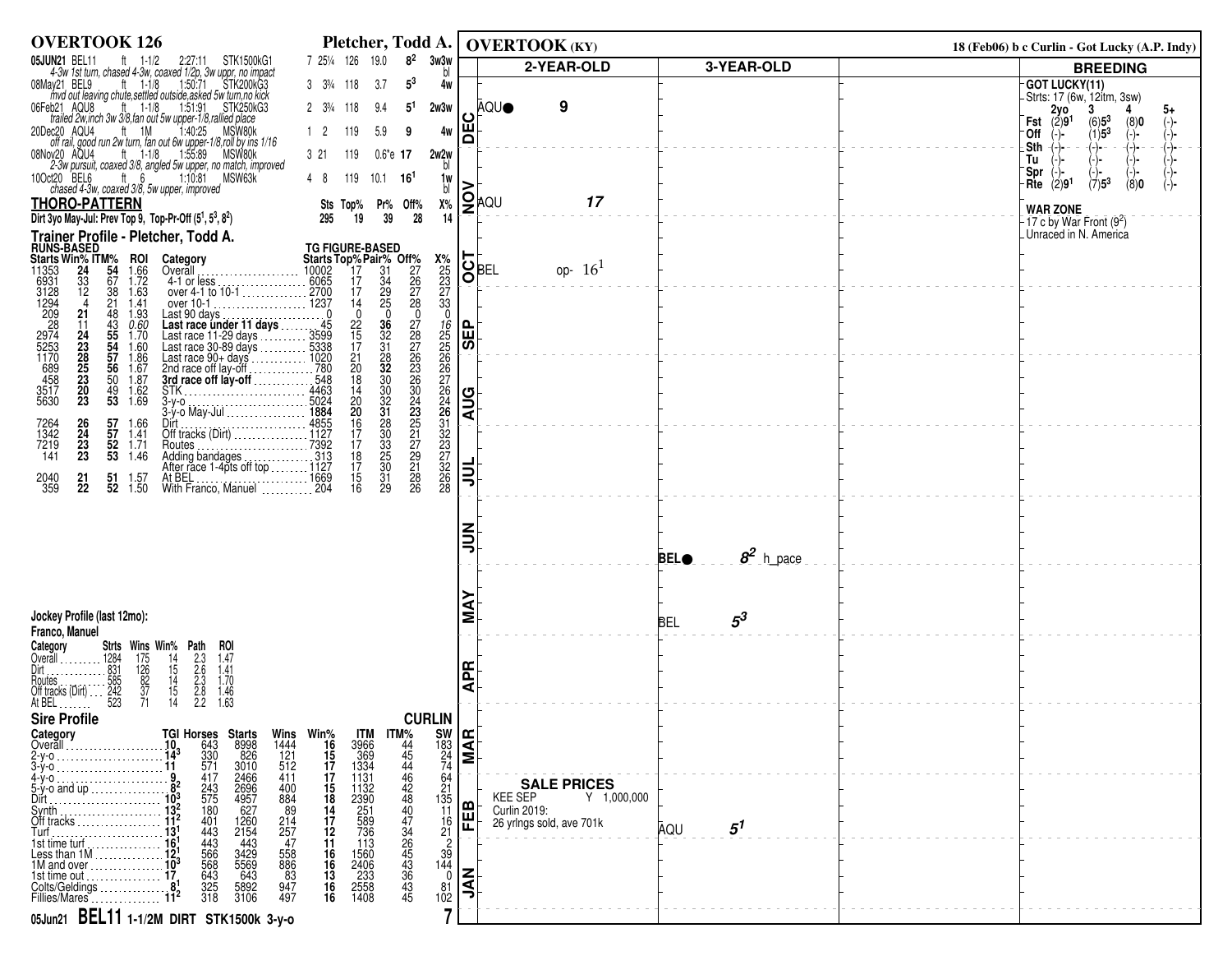| <b>OVERTOOK 126</b>                                                                                                                                                                                                                                                                                                                                                                                                      |                                                                                                                                             | Pletcher, Todd A.   OVERTOOK (KY)                                                              |                                            |                                          |                             |  | 18 (Feb06) b c Curlin - Got Lucky (A.P. Indy)                      |
|--------------------------------------------------------------------------------------------------------------------------------------------------------------------------------------------------------------------------------------------------------------------------------------------------------------------------------------------------------------------------------------------------------------------------|---------------------------------------------------------------------------------------------------------------------------------------------|------------------------------------------------------------------------------------------------|--------------------------------------------|------------------------------------------|-----------------------------|--|--------------------------------------------------------------------|
| 05JUN21 BEL11<br>UN21 BEL11 tt 1-1/2 2:27:11 STK1500kG1<br>4-3w 1st turn, chased 4-3w, coaxed 1/2p, 3w uppr, no impact<br>lay21 BEL9 tt 1-1/8 1:50:71 STK200kG3<br>myd out leaving chute,settled outside,asked 5w turn,no kick                                                                                                                                                                                           | 7 251/4 126 19.0<br>$8^2$<br>3w3w<br>bl                                                                                                     |                                                                                                |                                            | 2-YEAR-OLD                               | 3-YEAR-OLD                  |  | <b>BREEDING</b>                                                    |
| 08May21 BEL9                                                                                                                                                                                                                                                                                                                                                                                                             | $5^3$<br>$3\frac{3\frac{3}{4}}{118}$<br>3.7<br>4w                                                                                           |                                                                                                |                                            |                                          |                             |  | <b>GOT LUCKY(11)</b><br>-Strts: 17 (6w, 12itm, 3sw)                |
| b21 AQU8 ft 1-1/8 1:51:91 STK250kG3<br>trailed 2w,inch 3w 3/8, fan out 5w upper-1/8, rallied place<br>06Feb21 AQU8                                                                                                                                                                                                                                                                                                       | $2 \t3\frac{3}{4} \t118$<br>9.4<br>5 <sup>1</sup><br>2w3w                                                                                   |                                                                                                | <b>AQUO</b>                                | 9                                        |                             |  | $2y0$<br>(2)91<br>3<br>5+<br>Fst                                   |
| ec20 AQU4 ft 1M 1:40:25 MSW80k<br>off rail, good run 2w turn, fan out 6w upper-1/8,roll by ins 1/16<br>20Dec20 AQU4                                                                                                                                                                                                                                                                                                      | 119<br>$1\quad 2$<br>5.9<br>4w<br>9                                                                                                         | ١Ě                                                                                             |                                            |                                          |                             |  | $(6)5^3$<br>(1)5 <sup>3</sup><br>(8)0<br>$(-)$ -<br>Off<br>$(-)$ - |
| 08Nov20 AQU4                                                                                                                                                                                                                                                                                                                                                                                                             | 3 21<br>119<br>2w2w<br>$0.6^{\circ}$ e 17                                                                                                   |                                                                                                |                                            |                                          |                             |  | .Sth<br>(-)-<br>(-)-<br>-(-)-<br>Tu                                |
| $\frac{23}{23}$ May 300 $\frac{11}{23}$ may 1.18 $\frac{11}{25}$ 1.55.89 $\frac{11}{23}$ MSW80k<br>2.3w pursuit, coaxed 3/8, angled 5w upper, no match, improved<br>ct20 BEL6 tt <sub>. 2.</sub> 6 $\frac{6}{5}$ 1.10.81 MSW63k<br>10Oct20 BEL6<br>ct20 BEL6 ft 6 1:10:81<br>chased 4-3w, coaxed 3/8, 5w upper, improved                                                                                                 | bl<br>$10.1$ 16 <sup>1</sup><br>48<br>119<br>1w                                                                                             |                                                                                                |                                            |                                          |                             |  | 'Spr<br>$(7)5^3$<br>Rite $(2)91$<br>(8)0                           |
| <b>THORO-PATTERN</b>                                                                                                                                                                                                                                                                                                                                                                                                     | bl<br>$X\%$<br>Sts Top%<br>Pr% Off%                                                                                                         |                                                                                                | $\left \sum_{\lambda=1}^{\infty} 1\right $ | 17                                       |                             |  |                                                                    |
| Dirt 3yo May-Jul: Prev Top 9, Top-Pr-Off (5 <sup>1</sup> , 5 <sup>3</sup> , 8 <sup>2</sup> )                                                                                                                                                                                                                                                                                                                             | 19<br>39<br>14<br>295<br>28                                                                                                                 |                                                                                                |                                            |                                          |                             |  | <b>WAR ZONE</b><br>-17 c by War Front $(9^2)$                      |
| Trainer Profile - Pletcher, Todd A.                                                                                                                                                                                                                                                                                                                                                                                      | <b>TG FIGURE-BASED</b>                                                                                                                      |                                                                                                |                                            |                                          |                             |  | Unraced in N. America                                              |
| <b>RUNS-BASED<br/>Starts Win% ITM%<br/>11353 24 54<br/>6931 33 67<br/>6931 12 38<br/>1294 4 221<br/>209 21</b><br><b>ROI</b>                                                                                                                                                                                                                                                                                             | <b>Starts Top%Pair% Off%</b><br>10002 17 31 27<br>6065 17 34 26<br>2700 17 29 27<br>1237 14 25 28<br>$\frac{\frac{125}{25}}{\frac{23}{33}}$ | $\overline{\text{S}}_{\text{BEL}}^{\text{F}}$                                                  |                                            | op- $16^{1}$                             |                             |  |                                                                    |
| $\frac{1.66}{1.72}$<br>1.63                                                                                                                                                                                                                                                                                                                                                                                              |                                                                                                                                             |                                                                                                |                                            |                                          |                             |  |                                                                    |
| 1.41<br>1.93                                                                                                                                                                                                                                                                                                                                                                                                             | $\frac{17}{14}$<br>$\frac{29}{25}$<br>$\mathbf 0$<br>$\mathbf 0$                                                                            |                                                                                                |                                            |                                          |                             |  |                                                                    |
| $0.60$<br>$1.70$<br>$1.60$                                                                                                                                                                                                                                                                                                                                                                                               | $\frac{36}{32}$<br>31<br>22<br>15<br>17                                                                                                     | <b>GEP</b>                                                                                     |                                            |                                          |                             |  |                                                                    |
| 11353<br>6931<br>3128<br>31294<br>2292<br>2974<br>525<br>545<br>553<br>458<br>3517<br>5630<br>21<br>24<br>23<br>23<br>25<br>23<br>20<br>23<br>Last 90 days<br>Last race under 11 days<br>Last race 11 -29 days<br>Last race 30-89 days<br>Last race 90+ days<br>Last race 90+ days<br>Last race 90+ days<br>Last race 90+ days<br>2nd race of lay-off<br>2nd race of lay-off<br>43<br>55<br>55<br>56<br>56<br>50<br>1.86 |                                                                                                                                             |                                                                                                |                                            |                                          |                             |  |                                                                    |
| 1.67<br>1.87                                                                                                                                                                                                                                                                                                                                                                                                             | $\frac{28}{32}$<br>32<br>$\frac{21}{20}$<br>18                                                                                              |                                                                                                |                                            |                                          |                             |  |                                                                    |
| $\frac{49}{53}$<br>$1.62$<br>$1.69$                                                                                                                                                                                                                                                                                                                                                                                      | $\frac{30}{32}$<br>$31$<br>$\frac{14}{20}$<br>20                                                                                            | <b>AUG</b>                                                                                     |                                            |                                          |                             |  |                                                                    |
|                                                                                                                                                                                                                                                                                                                                                                                                                          |                                                                                                                                             |                                                                                                |                                            |                                          |                             |  |                                                                    |
| 57 1.66<br>57 1.41<br>7264<br>1342<br>$\frac{26}{24}$<br>52 1.71                                                                                                                                                                                                                                                                                                                                                         | $\frac{16}{17}$<br>17                                                                                                                       |                                                                                                |                                            |                                          |                             |  |                                                                    |
| $\frac{23}{23}$<br>7219<br>141<br>$5\overline{3}$<br>1.46                                                                                                                                                                                                                                                                                                                                                                | 22222236043517918<br>28<br>30<br>33<br>35<br>30<br>$\frac{18}{17}$                                                                          |                                                                                                |                                            |                                          |                             |  |                                                                    |
| 2040<br>359<br>$^{21}_{22}$<br>51<br>1.57<br>$52 \quad 1.50$                                                                                                                                                                                                                                                                                                                                                             | 15<br>$\overline{31}$<br>29<br>$\overline{26}$<br>16                                                                                        | ミ                                                                                              |                                            |                                          |                             |  |                                                                    |
|                                                                                                                                                                                                                                                                                                                                                                                                                          |                                                                                                                                             |                                                                                                |                                            |                                          |                             |  |                                                                    |
|                                                                                                                                                                                                                                                                                                                                                                                                                          |                                                                                                                                             | ミミ                                                                                             |                                            |                                          |                             |  |                                                                    |
|                                                                                                                                                                                                                                                                                                                                                                                                                          |                                                                                                                                             |                                                                                                |                                            |                                          | $8^2$ h_pace<br><b>BELO</b> |  |                                                                    |
|                                                                                                                                                                                                                                                                                                                                                                                                                          |                                                                                                                                             |                                                                                                |                                            |                                          |                             |  |                                                                    |
|                                                                                                                                                                                                                                                                                                                                                                                                                          |                                                                                                                                             |                                                                                                |                                            |                                          |                             |  |                                                                    |
| Jockey Profile (last 12mo):                                                                                                                                                                                                                                                                                                                                                                                              |                                                                                                                                             | Σ                                                                                              |                                            |                                          | $5^3$<br><b>BEL</b>         |  |                                                                    |
| Franco, Manuel<br>ROI<br>Category                                                                                                                                                                                                                                                                                                                                                                                        |                                                                                                                                             |                                                                                                |                                            |                                          |                             |  |                                                                    |
| <b>Strts Wins Win% Path</b><br>1284 175 14 2.3<br>831 126 15 2.6<br>885 82 14 2.3<br>242 37 15 2.8<br>242 37 14 2.8<br>1.47                                                                                                                                                                                                                                                                                              |                                                                                                                                             | Æ                                                                                              |                                            |                                          |                             |  |                                                                    |
| $\frac{1.41}{1.70}$<br>$\frac{1.46}{1.63}$                                                                                                                                                                                                                                                                                                                                                                               |                                                                                                                                             | ⋖                                                                                              |                                            |                                          |                             |  |                                                                    |
|                                                                                                                                                                                                                                                                                                                                                                                                                          |                                                                                                                                             |                                                                                                |                                            |                                          |                             |  |                                                                    |
| <b>Sire Profile</b><br>Category                                                                                                                                                                                                                                                                                                                                                                                          | <b>CURLIN</b>                                                                                                                               |                                                                                                |                                            |                                          |                             |  |                                                                    |
| TGI Horses Starts<br>10 643 8998<br>14 <sup>3</sup> 330 826<br>11 571 3010<br>Wins<br>1444<br>121<br>512<br>$2-y-0$ .                                                                                                                                                                                                                                                                                                    | $17M\%$<br>44<br>45<br>44<br>Win%<br>16<br>15<br>17                                                                                         | $\begin{bmatrix} \text{SW} \ \text{183} \\ \text{183} \\ \text{24} \\ \text{74} \end{bmatrix}$ |                                            |                                          |                             |  |                                                                    |
| 3-ý-o<br>2466<br>$4-y-0$ .<br>417<br>411                                                                                                                                                                                                                                                                                                                                                                                 | 46<br>17                                                                                                                                    |                                                                                                |                                            |                                          |                             |  |                                                                    |
| $\frac{243}{575}$<br>180<br>400<br>884<br>$5-y$ -o and up<br>Dirt.                                                                                                                                                                                                                                                                                                                                                       | $^{64}_{21}$<br>$\frac{15}{18}$<br>18<br>$1\overline{3}5$                                                                                   |                                                                                                | KEE SEP                                    | <b>SALE PRICES</b><br>Y 1,000,000        |                             |  |                                                                    |
| 89<br>Svnth<br>Off tracks<br>401<br>443                                                                                                                                                                                                                                                                                                                                                                                  | <b>ITM</b><br>3966<br>369<br>369<br>1334<br>1132<br>1132<br>259<br>251<br>589<br>589<br>589<br>36<br>11<br>17                               | <b>FEB</b>                                                                                     |                                            | Curlin 2019:<br>26 yrlngs sold, ave 701k |                             |  |                                                                    |
| $2696$<br>$4957$<br>$627$<br>$1260$<br>$2154$<br>$443$<br>$\frac{214}{257}$<br>Turf<br>443<br>1st time turf.                                                                                                                                                                                                                                                                                                             | 44844434653445<br>$\begin{array}{c} 16 \\ 21 \end{array}$<br>$\frac{12}{11}$<br>113                                                         |                                                                                                |                                            |                                          | $5^1$<br>AQU                |  |                                                                    |
| 566<br>3429<br>5569<br>103<br>103<br>103<br>1st time out<br>558<br>886<br>83                                                                                                                                                                                                                                                                                                                                             | $\frac{2}{39}$<br>144                                                                                                                       |                                                                                                |                                            |                                          |                             |  |                                                                    |
| 643<br>325<br>318<br>643<br>Colts/Geldings<br>5892<br>3106<br>947<br>497                                                                                                                                                                                                                                                                                                                                                 | $\frac{16}{16}$<br>$\frac{16}{16}$<br>$\frac{16}{16}$<br>1560<br>2406<br>233<br>2558<br>1408<br>$\overline{0}$<br>$\frac{81}{102}$          | $ \vec{\xi} $                                                                                  |                                            |                                          |                             |  |                                                                    |
| Fillies/Mares                                                                                                                                                                                                                                                                                                                                                                                                            | $\overline{\phantom{a}}$                                                                                                                    |                                                                                                |                                            |                                          |                             |  |                                                                    |
| 05Jun21 BEL11 1-1/2M DIRT STK1500k 3-y-0                                                                                                                                                                                                                                                                                                                                                                                 |                                                                                                                                             |                                                                                                |                                            |                                          |                             |  |                                                                    |